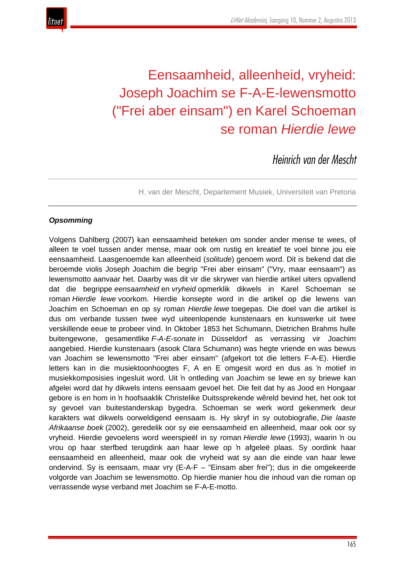

# Eensaamheid, alleenheid, vryheid: Joseph Joachim se F-A-E-lewensmotto ("Frei aber einsam") en Karel Schoeman se roman *Hierdie lewe*

*Heinrich van der Mescht*

H. van der Mescht, Departement Musiek, Universiteit van Pretoria

# *Opsomming*

Volgens Dahlberg (2007) kan eensaamheid beteken om sonder ander mense te wees, of alleen te voel tussen ander mense, maar ook om rustig en kreatief te voel binne jou eie eensaamheid. Laasgenoemde kan alleenheid (*solitude*) genoem word. Dit is bekend dat die beroemde violis Joseph Joachim die begrip "Frei aber einsam" ("Vry, maar eensaam") as lewensmotto aanvaar het. Daarby was dit vir die skrywer van hierdie artikel uiters opvallend dat die begrippe *eensaamheid* en *vryheid* opmerklik dikwels in Karel Schoeman se roman *Hierdie lewe* voorkom. Hierdie konsepte word in die artikel op die lewens van Joachim en Schoeman en op sy roman *Hierdie lewe* toegepas. Die doel van die artikel is dus om verbande tussen twee wyd uiteenlopende kunstenaars en kunswerke uit twee verskillende eeue te probeer vind. In Oktober 1853 het Schumann, Dietrichen Brahms hulle buitengewone, gesamentlike *F-A-E-sonate* in Düsseldorf as verrassing vir Joachim aangebied. Hierdie kunstenaars (asook Clara Schumann) was hegte vriende en was bewus van Joachim se lewensmotto "Frei aber einsam" (afgekort tot die letters F-A-E). Hierdie letters kan in die musiektoonhoogtes F, A en E omgesit word en dus as 'n motief in musiekkomposisies ingesluit word. Uit 'n ontleding van Joachim se lewe en sy briewe kan afgelei word dat hy dikwels intens eensaam gevoel het. Die feit dat hy as Jood en Hongaar gebore is en hom in 'n hoofsaaklik Christelike Duitssprekende wêreld bevind het, het ook tot sy gevoel van buitestanderskap bygedra. Schoeman se werk word gekenmerk deur karakters wat dikwels oorweldigend eensaam is. Hy skryf in sy outobiografie, *Die laaste Afrikaanse boek* (2002), geredelik oor sy eie eensaamheid en alleenheid, maar ook oor sy vryheid. Hierdie gevoelens word weerspieël in sy roman *Hierdie lewe* (1993), waarin 'n ou vrou op haar sterfbed terugdink aan haar lewe op 'n afgeleë plaas. Sy oordink haar eensaamheid en alleenheid, maar ook die vryheid wat sy aan die einde van haar lewe ondervind. Sy is eensaam, maar vry (E-A-F – "Einsam aber frei"); dus in die omgekeerde volgorde van Joachim se lewensmotto. Op hierdie manier hou die inhoud van die roman op verrassende wyse verband met Joachim se F-A-E-motto.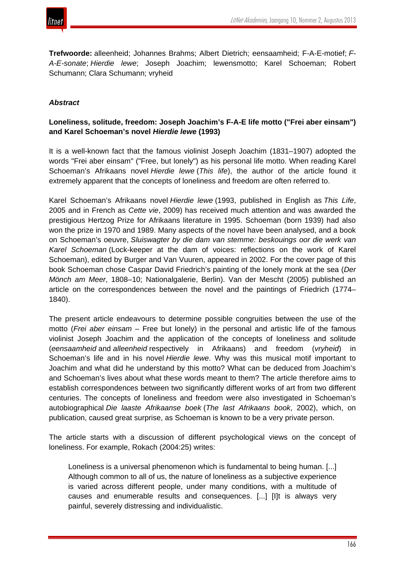

**Trefwoorde:** alleenheid; Johannes Brahms; Albert Dietrich; eensaamheid; F-A-E-motief; *F-A-E-sonate*; *Hierdie lewe*; Joseph Joachim; lewensmotto; Karel Schoeman; Robert Schumann; Clara Schumann; vryheid

#### *Abstract*

# **Loneliness, solitude, freedom: Joseph Joachim's F-A-E life motto ("Frei aber einsam") and Karel Schoeman's novel** *Hierdie lewe* **(1993)**

It is a well-known fact that the famous violinist Joseph Joachim (1831–1907) adopted the words "Frei aber einsam" ("Free, but lonely") as his personal life motto. When reading Karel Schoeman's Afrikaans novel *Hierdie lewe* (*This life*), the author of the article found it extremely apparent that the concepts of loneliness and freedom are often referred to.

Karel Schoeman's Afrikaans novel *Hierdie lewe* (1993, published in English as *This Life*, 2005 and in French as *Cette vie*, 2009) has received much attention and was awarded the prestigious Hertzog Prize for Afrikaans literature in 1995. Schoeman (born 1939) had also won the prize in 1970 and 1989. Many aspects of the novel have been analysed, and a book on Schoeman's oeuvre, *Sluiswagter by die dam van stemme: beskouings oor die werk van Karel Schoeman* (Lock-keeper at the dam of voices: reflections on the work of Karel Schoeman), edited by Burger and Van Vuuren, appeared in 2002. For the cover page of this book Schoeman chose Caspar David Friedrich's painting of the lonely monk at the sea (*Der Mönch am Meer*, 1808–10; Nationalgalerie, Berlin). Van der Mescht (2005) published an article on the correspondences between the novel and the paintings of Friedrich (1774– 1840).

The present article endeavours to determine possible congruities between the use of the motto (*Frei aber einsam* – Free but lonely) in the personal and artistic life of the famous violinist Joseph Joachim and the application of the concepts of loneliness and solitude (*eensaamheid* and *alleenheid* respectively in Afrikaans) and freedom (*vryheid*) in Schoeman's life and in his novel *Hierdie lewe*. Why was this musical motif important to Joachim and what did he understand by this motto? What can be deduced from Joachim's and Schoeman's lives about what these words meant to them? The article therefore aims to establish correspondences between two significantly different works of art from two different centuries. The concepts of loneliness and freedom were also investigated in Schoeman's autobiographical *Die laaste Afrikaanse boek* (*The last Afrikaans book*, 2002), which, on publication, caused great surprise, as Schoeman is known to be a very private person.

The article starts with a discussion of different psychological views on the concept of loneliness. For example, Rokach (2004:25) writes:

Loneliness is a universal phenomenon which is fundamental to being human. [...] Although common to all of us, the nature of loneliness as a subjective experience is varied across different people, under many conditions, with a multitude of causes and enumerable results and consequences. [...] [I]t is always very painful, severely distressing and individualistic.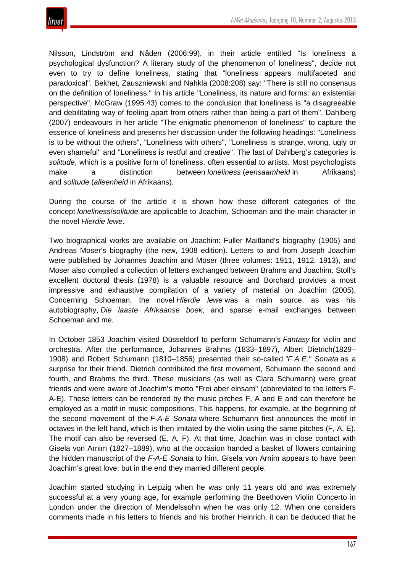

Nilsson, Lindström and Nåden (2006:99), in their article entitled "Is loneliness a psychological dysfunction? A literary study of the phenomenon of loneliness", decide not even to try to define loneliness, stating that "loneliness appears multifaceted and paradoxical". Bekhet, Zauszniewski and Nahkla (2008:208) say: "There is still no consensus on the definition of loneliness." In his article "Loneliness, its nature and forms: an existential perspective", McGraw (1995:43) comes to the conclusion that loneliness is "a disagreeable and debilitating way of feeling apart from others rather than being a part of them". Dahlberg (2007) endeavours in her article "The enigmatic phenomenon of loneliness" to capture the essence of loneliness and presents her discussion under the following headings: "Loneliness is to be without the others", "Loneliness with others", "Loneliness is strange, wrong, ugly or even shameful" and "Loneliness is restful and creative". The last of Dahlberg's categories is *solitude*, which is a positive form of loneliness, often essential to artists. Most psychologists make a distinction between *loneliness* (*eensaamheid* in Afrikaans) and *solitude* (*alleenheid* in Afrikaans).

During the course of the article it is shown how these different categories of the concept *loneliness*/*solitude* are applicable to Joachim, Schoeman and the main character in the novel *Hierdie lewe*.

Two biographical works are available on Joachim: Fuller Maitland's biography (1905) and Andreas Moser's biography (the new, 1908 edition). Letters to and from Joseph Joachim were published by Johannes Joachim and Moser (three volumes: 1911, 1912, 1913), and Moser also compiled a collection of letters exchanged between Brahms and Joachim. Stoll's excellent doctoral thesis (1978) is a valuable resource and Borchard provides a most impressive and exhaustive compilation of a variety of material on Joachim (2005). Concerning Schoeman, the novel *Hierdie lewe* was a main source, as was his autobiography, *Die laaste Afrikaanse boek*, and sparse e-mail exchanges between Schoeman and me.

In October 1853 Joachim visited Düsseldorf to perform Schumann's *Fantasy* for violin and orchestra. After the performance, Johannes Brahms (1833–1897), Albert Dietrich(1829– 1908) and Robert Schumann (1810–1856) presented their so-called *"F.A.E." Sonata* as a surprise for their friend. Dietrich contributed the first movement, Schumann the second and fourth, and Brahms the third. These musicians (as well as Clara Schumann) were great friends and were aware of Joachim's motto "Frei aber einsam" (abbreviated to the letters F-A-E). These letters can be rendered by the music pitches F, A and E and can therefore be employed as a motif in music compositions. This happens, for example, at the beginning of the second movement of the *F-A-E Sonata* where Schumann first announces the motif in octaves in the left hand, which is then imitated by the violin using the same pitches (F, A, E). The motif can also be reversed (E, A, F). At that time, Joachim was in close contact with Gisela von Arnim (1827–1889), who at the occasion handed a basket of flowers containing the hidden manuscript of the *F-A-E Sonata* to him. Gisela von Arnim appears to have been Joachim's great love; but in the end they married different people.

Joachim started studying in Leipzig when he was only 11 years old and was extremely successful at a very young age, for example performing the Beethoven Violin Concerto in London under the direction of Mendelssohn when he was only 12. When one considers comments made in his letters to friends and his brother Heinrich, it can be deduced that he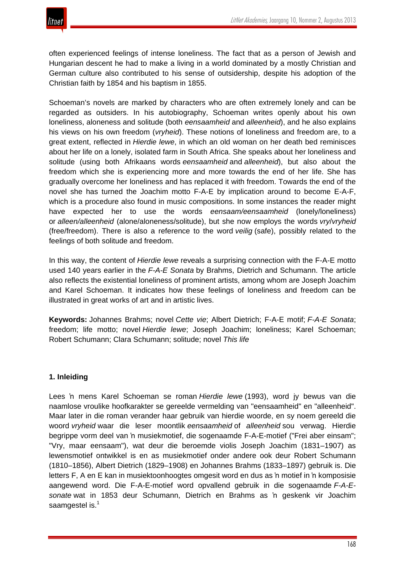often experienced feelings of intense loneliness. The fact that as a person of Jewish and Hungarian descent he had to make a living in a world dominated by a mostly Christian and German culture also contributed to his sense of outsidership, despite his adoption of the Christian faith by 1854 and his baptism in 1855.

Schoeman's novels are marked by characters who are often extremely lonely and can be regarded as outsiders. In his autobiography, Schoeman writes openly about his own loneliness, aloneness and solitude (both *eensaamheid* and *alleenheid*), and he also explains his views on his own freedom (*vryheid*). These notions of loneliness and freedom are, to a great extent, reflected in *Hierdie lewe*, in which an old woman on her death bed reminisces about her life on a lonely, isolated farm in South Africa. She speaks about her loneliness and solitude (using both Afrikaans words *eensaamheid* and *alleenheid*), but also about the freedom which she is experiencing more and more towards the end of her life. She has gradually overcome her loneliness and has replaced it with freedom. Towards the end of the novel she has turned the Joachim motto F-A-E by implication around to become E-A-F, which is a procedure also found in music compositions. In some instances the reader might have expected her to use the words *eensaam/eensaamheid* (lonely/loneliness) or *alleen/alleenheid* (alone/aloneness/solitude), but she now employs the words *vry*/*vryheid* (free/freedom). There is also a reference to the word *veilig* (safe), possibly related to the feelings of both solitude and freedom.

In this way, the content of *Hierdie lewe* reveals a surprising connection with the F-A-E motto used 140 years earlier in the *F-A-E Sonata* by Brahms, Dietrich and Schumann. The article also reflects the existential loneliness of prominent artists, among whom are Joseph Joachim and Karel Schoeman. It indicates how these feelings of loneliness and freedom can be illustrated in great works of art and in artistic lives.

**Keywords:** Johannes Brahms; novel *Cette vie*; Albert Dietrich; F-A-E motif; *F-A-E Sonata*; freedom; life motto; novel *Hierdie lewe*; Joseph Joachim; loneliness; Karel Schoeman; Robert Schumann; Clara Schumann; solitude; novel *This life*

#### **1. Inleiding**

Lees 'n mens Karel Schoeman se roman *Hierdie lewe* (1993), word jy bewus van die naamlose vroulike hoofkarakter se gereelde vermelding van "eensaamheid" en "alleenheid". Maar later in die roman verander haar gebruik van hierdie woorde, en sy noem gereeld die woord *vryheid* waar die leser moontlik *eensaamheid* of *alleenheid* sou verwag. Hierdie begrippe vorm deel van 'n musiekmotief, die sogenaamde F-A-E-motief ("Frei aber einsam"; "Vry, maar eensaam"), wat deur die beroemde violis Joseph Joachim (1831–1907) as lewensmotief ontwikkel is en as musiekmotief onder andere ook deur Robert Schumann (1810–1856), Albert Dietrich (1829–1908) en Johannes Brahms (1833–1897) gebruik is. Die letters F, A en E kan in musiektoonhoogtes omgesit word en dus as 'n motief in 'n komposisie aangewend word. Die F-A-E-motief word opvallend gebruik in die sogenaamde *F-A-Esonate* wat in 1853 deur Schumann, Dietrich en Brahms as 'n geskenk vir Joachim saamgestel is.<sup>1</sup>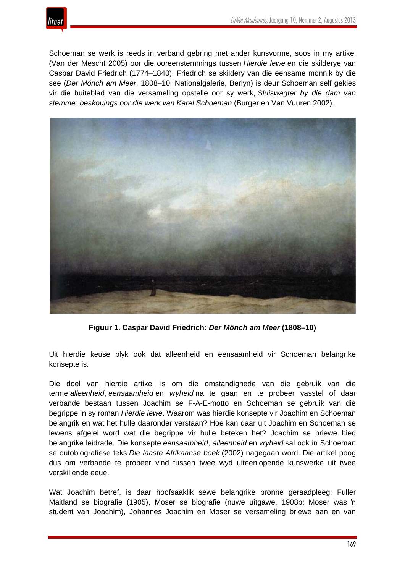

Schoeman se werk is reeds in verband gebring met ander kunsvorme, soos in my artikel (Van der Mescht 2005) oor die ooreenstemmings tussen *Hierdie lewe* en die skilderye van Caspar David Friedrich (1774–1840). Friedrich se skildery van die eensame monnik by die see (*Der Mönch am Meer*, 1808–10; Nationalgalerie, Berlyn) is deur Schoeman self gekies vir die buiteblad van die versameling opstelle oor sy werk, *Sluiswagter by die dam van stemme: beskouings oor die werk van Karel Schoeman* (Burger en Van Vuuren 2002).



**Figuur 1. Caspar David Friedrich:** *Der Mönch am Meer* **(1808–10)**

Uit hierdie keuse blyk ook dat alleenheid en eensaamheid vir Schoeman belangrike konsepte is.

Die doel van hierdie artikel is om die omstandighede van die gebruik van die terme *alleenheid*, *eensaamheid* en *vryheid* na te gaan en te probeer vasstel of daar verbande bestaan tussen Joachim se F-A-E-motto en Schoeman se gebruik van die begrippe in sy roman *Hierdie lewe*. Waarom was hierdie konsepte vir Joachim en Schoeman belangrik en wat het hulle daaronder verstaan? Hoe kan daar uit Joachim en Schoeman se lewens afgelei word wat die begrippe vir hulle beteken het? Joachim se briewe bied belangrike leidrade. Die konsepte *eensaamheid*, *alleenheid* en *vryheid* sal ook in Schoeman se outobiografiese teks *Die laaste Afrikaanse boek* (2002) nagegaan word. Die artikel poog dus om verbande te probeer vind tussen twee wyd uiteenlopende kunswerke uit twee verskillende eeue.

Wat Joachim betref, is daar hoofsaaklik sewe belangrike bronne geraadpleeg: Fuller Maitland se biografie (1905), Moser se biografie (nuwe uitgawe, 1908b; Moser was 'n student van Joachim), Johannes Joachim en Moser se versameling briewe aan en van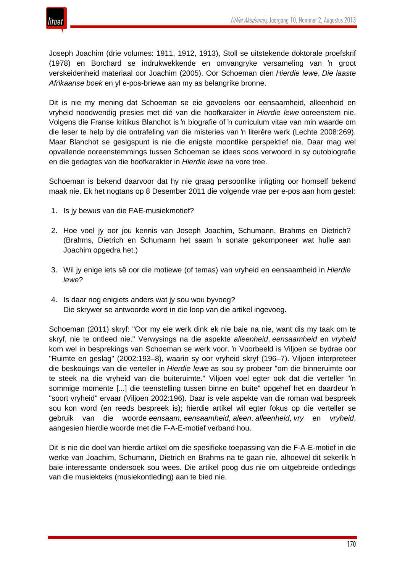

Joseph Joachim (drie volumes: 1911, 1912, 1913), Stoll se uitstekende doktorale proefskrif (1978) en Borchard se indrukwekkende en omvangryke versameling van 'n groot verskeidenheid materiaal oor Joachim (2005). Oor Schoeman dien *Hierdie lewe*, *Die laaste Afrikaanse boek* en yl e-pos-briewe aan my as belangrike bronne.

Dit is nie my mening dat Schoeman se eie gevoelens oor eensaamheid, alleenheid en vryheid noodwendig presies met dié van die hoofkarakter in *Hierdie lewe* ooreenstem nie. Volgens die Franse kritikus Blanchot is 'n biografie of 'n curriculum vitae van min waarde om die leser te help by die ontrafeling van die misteries van 'n literêre werk (Lechte 2008:269). Maar Blanchot se gesigspunt is nie die enigste moontlike perspektief nie. Daar mag wel opvallende ooreenstemmings tussen Schoeman se idees soos verwoord in sy outobiografie en die gedagtes van die hoofkarakter in *Hierdie lewe* na vore tree.

Schoeman is bekend daarvoor dat hy nie graag persoonlike inligting oor homself bekend maak nie. Ek het nogtans op 8 Desember 2011 die volgende vrae per e-pos aan hom gestel:

- 1. Is jy bewus van die FAE-musiekmotief?
- 2. Hoe voel jy oor jou kennis van Joseph Joachim, Schumann, Brahms en Dietrich? (Brahms, Dietrich en Schumann het saam 'n sonate gekomponeer wat hulle aan Joachim opgedra het.)
- 3. Wil jy enige iets sê oor die motiewe (of temas) van vryheid en eensaamheid in *Hierdie lewe*?
- 4. Is daar nog enigiets anders wat jy sou wou byvoeg? Die skrywer se antwoorde word in die loop van die artikel ingevoeg.

Schoeman (2011) skryf: "Oor my eie werk dink ek nie baie na nie, want dis my taak om te skryf, nie te ontleed nie." Verwysings na die aspekte *alleenheid*, *eensaamheid* en *vryheid* kom wel in besprekings van Schoeman se werk voor. 'n Voorbeeld is Viljoen se bydrae oor "Ruimte en geslag" (2002:193–8), waarin sy oor vryheid skryf (196–7). Viljoen interpreteer die beskouings van die verteller in *Hierdie lewe* as sou sy probeer "om die binneruimte oor te steek na die vryheid van die buiteruimte." Viljoen voel egter ook dat die verteller "in sommige momente [...] die teenstelling tussen binne en buite" opgehef het en daardeur 'n "soort vryheid" ervaar (Viljoen 2002:196). Daar is vele aspekte van die roman wat bespreek sou kon word (en reeds bespreek is); hierdie artikel wil egter fokus op die verteller se gebruik van die woorde *eensaam*, *eensaamheid*, *aleen*, *alleenheid*, *vry* en *vryheid*, aangesien hierdie woorde met die F-A-E-motief verband hou.

Dit is nie die doel van hierdie artikel om die spesifieke toepassing van die F-A-E-motief in die werke van Joachim, Schumann, Dietrich en Brahms na te gaan nie, alhoewel dit sekerlik 'n baie interessante ondersoek sou wees. Die artikel poog dus nie om uitgebreide ontledings van die musiekteks (musiekontleding) aan te bied nie.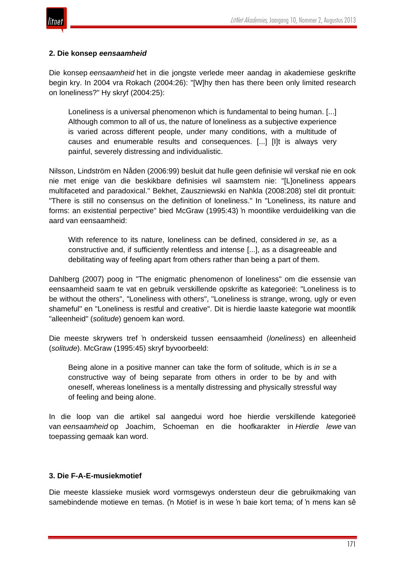

#### **2. Die konsep** *eensaamheid*

Die konsep *eensaamheid* het in die jongste verlede meer aandag in akademiese geskrifte begin kry. In 2004 vra Rokach (2004:26): "[W]hy then has there been only limited research on loneliness?" Hy skryf (2004:25):

Loneliness is a universal phenomenon which is fundamental to being human. [...] Although common to all of us, the nature of loneliness as a subjective experience is varied across different people, under many conditions, with a multitude of causes and enumerable results and consequences. [...] [I]t is always very painful, severely distressing and individualistic.

Nilsson, Lindström en Nåden (2006:99) besluit dat hulle geen definisie wil verskaf nie en ook nie met enige van die beskikbare definisies wil saamstem nie: "[L]oneliness appears multifaceted and paradoxical." Bekhet, Zauszniewski en Nahkla (2008:208) stel dit prontuit: "There is still no consensus on the definition of loneliness." In "Loneliness, its nature and forms: an existential perpective" bied McGraw (1995:43) 'n moontlike verduideliking van die aard van eensaamheid:

With reference to its nature, loneliness can be defined, considered *in se*, as a constructive and, if sufficiently relentless and intense [...], as a disagreeable and debilitating way of feeling apart from others rather than being a part of them.

Dahlberg (2007) poog in "The enigmatic phenomenon of loneliness" om die essensie van eensaamheid saam te vat en gebruik verskillende opskrifte as kategorieë: "Loneliness is to be without the others", "Loneliness with others", "Loneliness is strange, wrong, ugly or even shameful" en "Loneliness is restful and creative". Dit is hierdie laaste kategorie wat moontlik "alleenheid" (*solitude*) genoem kan word.

Die meeste skrywers tref 'n onderskeid tussen eensaamheid (*loneliness*) en alleenheid (*solitude*). McGraw (1995:45) skryf byvoorbeeld:

Being alone in a positive manner can take the form of solitude, which is *in se* a constructive way of being separate from others in order to be by and with oneself, whereas loneliness is a mentally distressing and physically stressful way of feeling and being alone.

In die loop van die artikel sal aangedui word hoe hierdie verskillende kategorieë van *eensaamheid* op Joachim, Schoeman en die hoofkarakter in *Hierdie lewe* van toepassing gemaak kan word.

#### **3. Die F-A-E-musiekmotief**

Die meeste klassieke musiek word vormsgewys ondersteun deur die gebruikmaking van samebindende motiewe en temas. ('n Motief is in wese 'n baie kort tema; of 'n mens kan sê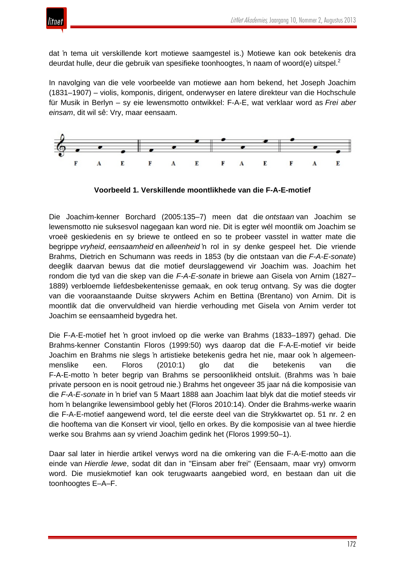

dat 'n tema uit verskillende kort motiewe saamgestel is.) Motiewe kan ook betekenis dra deurdat hulle, deur die gebruik van spesifieke toonhoogtes, 'n naam of woord(e) uitspel.<sup>2</sup>

In navolging van die vele voorbeelde van motiewe aan hom bekend, het Joseph Joachim (1831–1907) – violis, komponis, dirigent, onderwyser en latere direkteur van die Hochschule für Musik in Berlyn – sy eie lewensmotto ontwikkel: F-A-E, wat verklaar word as *Frei aber einsam*, dit wil sê: Vry, maar eensaam.



**Voorbeeld 1. Verskillende moontlikhede van die F-A-E-motief**

Die Joachim-kenner Borchard (2005:135–7) meen dat die *ontstaan* van Joachim se lewensmotto nie suksesvol nagegaan kan word nie. Dit is egter wél moontlik om Joachim se vroeë geskiedenis en sy briewe te ontleed en so te probeer vasstel in watter mate die begrippe *vryheid*, *eensaamheid* en *alleenheid* 'n rol in sy denke gespeel het. Die vriende Brahms, Dietrich en Schumann was reeds in 1853 (by die ontstaan van die *F-A-E-sonate*) deeglik daarvan bewus dat die motief deurslaggewend vir Joachim was. Joachim het rondom die tyd van die skep van die *F-A-E-sonate* in briewe aan Gisela von Arnim (1827– 1889) verbloemde liefdesbekentenisse gemaak, en ook terug ontvang. Sy was die dogter van die vooraanstaande Duitse skrywers Achim en Bettina (Brentano) von Arnim. Dit is moontlik dat die onvervuldheid van hierdie verhouding met Gisela von Arnim verder tot Joachim se eensaamheid bygedra het.

Die F-A-E-motief het 'n groot invloed op die werke van Brahms (1833–1897) gehad. Die Brahms-kenner Constantin Floros (1999:50) wys daarop dat die F-A-E-motief vir beide Joachim en Brahms nie slegs 'n artistieke betekenis gedra het nie, maar ook 'n algemeenmenslike een. Floros (2010:1) glo dat die betekenis van die F-A-E-motto 'n beter begrip van Brahms se persoonlikheid ontsluit. (Brahms was 'n baie private persoon en is nooit getroud nie.) Brahms het ongeveer 35 jaar ná die komposisie van die *F-A-E-sonate* in 'n brief van 5 Maart 1888 aan Joachim laat blyk dat die motief steeds vir hom 'n belangrike lewensimbool gebly het (Floros 2010:14). Onder die Brahms-werke waarin die F-A-E-motief aangewend word, tel die eerste deel van die Strykkwartet op. 51 nr. 2 en die hooftema van die Konsert vir viool, tjello en orkes. By die komposisie van al twee hierdie werke sou Brahms aan sy vriend Joachim gedink het (Floros 1999:50–1).

Daar sal later in hierdie artikel verwys word na die omkering van die F-A-E-motto aan die einde van *Hierdie lewe*, sodat dit dan in "Einsam aber frei" (Eensaam, maar vry) omvorm word. Die musiekmotief kan ook terugwaarts aangebied word, en bestaan dan uit die toonhoogtes E–A–F.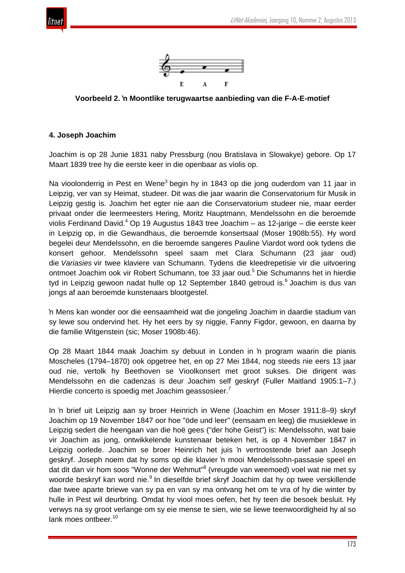



**Voorbeeld 2. 'n Moontlike terugwaartse aanbieding van die F-A-E-motief**

#### **4. Joseph Joachim**

Joachim is op 28 Junie 1831 naby Pressburg (nou Bratislava in Slowakye) gebore. Op 17 Maart 1839 tree hy die eerste keer in die openbaar as violis op.

Na vioolonderrig in Pest en Wene<sup>3</sup> begin hy in 1843 op die jong ouderdom van 11 jaar in Leipzig, ver van sy Heimat, studeer. Dit was die jaar waarin die Conservatorium für Musik in Leipzig gestig is. Joachim het egter nie aan die Conservatorium studeer nie, maar eerder privaat onder die leermeesters Hering, Moritz Hauptmann, Mendelssohn en die beroemde violis Ferdinand David.<sup>4</sup> Op 19 Augustus 1843 tree Joachim – as 12-jarige – die eerste keer in Leipzig op, in die Gewandhaus, die beroemde konsertsaal (Moser 1908b:55). Hy word begelei deur Mendelssohn, en die beroemde sangeres Pauline Viardot word ook tydens die konsert gehoor. Mendelssohn speel saam met Clara Schumann (23 jaar oud) die *Variasies* vir twee klaviere van Schumann. Tydens die kleedrepetisie vir die uitvoering ontmoet Joachim ook vir Robert Schumann, toe 33 jaar oud.<sup>5</sup> Die Schumanns het in hierdie tyd in Leipzig gewoon nadat hulle op 12 September 1840 getroud is. $<sup>6</sup>$  Joachim is dus van</sup> jongs af aan beroemde kunstenaars blootgestel.

'n Mens kan wonder oor die eensaamheid wat die jongeling Joachim in daardie stadium van sy lewe sou ondervind het. Hy het eers by sy niggie, Fanny Figdor, gewoon, en daarna by die familie Witgenstein (sic; Moser 1908b:46).

Op 28 Maart 1844 maak Joachim sy debuut in Londen in 'n program waarin die pianis Moscheles (1794–1870) ook opgetree het, en op 27 Mei 1844, nog steeds nie eers 13 jaar oud nie, vertolk hy Beethoven se Vioolkonsert met groot sukses. Die dirigent was Mendelssohn en die cadenzas is deur Joachim self geskryf (Fuller Maitland 1905:1–7.) Hierdie concerto is spoedig met Joachim geassosieer.<sup>7</sup>

In 'n brief uit Leipzig aan sy broer Heinrich in Wene (Joachim en Moser 1911:8–9) skryf Joachim op 19 November 1847 oor hoe "öde und leer" (eensaam en leeg) die musieklewe in Leipzig sedert die heengaan van die hoë gees ("der hohe Geist") is: Mendelssohn, wat baie vir Joachim as jong, ontwikkelende kunstenaar beteken het, is op 4 November 1847 in Leipzig oorlede. Joachim se broer Heinrich het juis 'n vertroostende brief aan Joseph geskryf. Joseph noem dat hy soms op die klavier 'n mooi Mendelssohn-passasie speel en dat dit dan vir hom soos "Wonne der Wehmut"<sup>8</sup> (vreugde van weemoed) voel wat nie met sy woorde beskryf kan word nie.<sup>9</sup> In dieselfde brief skryf Joachim dat hy op twee verskillende dae twee aparte briewe van sy pa en van sy ma ontvang het om te vra of hy die winter by hulle in Pest wil deurbring. Omdat hy viool moes oefen, het hy teen die besoek besluit. Hy verwys na sy groot verlange om sy eie mense te sien, wie se liewe teenwoordigheid hy al so lank moes ontbeer.<sup>10</sup>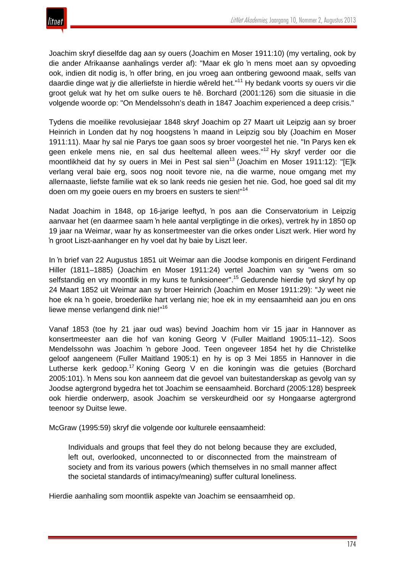Joachim skryf dieselfde dag aan sy ouers (Joachim en Moser 1911:10) (my vertaling, ook by die ander Afrikaanse aanhalings verder af): "Maar ek glo 'n mens moet aan sy opvoeding ook, indien dit nodig is, 'n offer bring, en jou vroeg aan ontbering gewoond maak, selfs van daardie dinge wat jy die allerliefste in hierdie wêreld het."<sup>11</sup> Hy bedank voorts sy ouers vir die groot geluk wat hy het om sulke ouers te hê. Borchard (2001:126) som die situasie in die volgende woorde op: "On Mendelssohn's death in 1847 Joachim experienced a deep crisis."

Tydens die moeilike revolusiejaar 1848 skryf Joachim op 27 Maart uit Leipzig aan sy broer Heinrich in Londen dat hy nog hoogstens 'n maand in Leipzig sou bly (Joachim en Moser 1911:11). Maar hy sal nie Parys toe gaan soos sy broer voorgestel het nie. "In Parys ken ek geen enkele mens nie, en sal dus heeltemal alleen wees." <sup>12</sup> Hy skryf verder oor die moontlikheid dat hy sy ouers in Mei in Pest sal sien<sup>13</sup> (Joachim en Moser 1911:12): "IEIk verlang veral baie erg, soos nog nooit tevore nie, na die warme, noue omgang met my allernaaste, liefste familie wat ek so lank reeds nie gesien het nie. God, hoe goed sal dit my doen om my goeie ouers en my broers en susters te sien!"<sup>14</sup>

Nadat Joachim in 1848, op 16-jarige leeftyd, 'n pos aan die Conservatorium in Leipzig aanvaar het (en daarmee saam 'n hele aantal verpligtinge in die orkes), vertrek hy in 1850 op 19 jaar na Weimar, waar hy as konsertmeester van die orkes onder Liszt werk. Hier word hy 'n groot Liszt-aanhanger en hy voel dat hy baie by Liszt leer.

In 'n brief van 22 Augustus 1851 uit Weimar aan die Joodse komponis en dirigent Ferdinand Hiller (1811–1885) (Joachim en Moser 1911:24) vertel Joachim van sy "wens om so selfstandig en vry moontlik in my kuns te funksioneer". <sup>15</sup> Gedurende hierdie tyd skryf hy op 24 Maart 1852 uit Weimar aan sy broer Heinrich (Joachim en Moser 1911:29): "Jy weet nie hoe ek na 'n goeie, broederlike hart verlang nie; hoe ek in my eensaamheid aan jou en ons liewe mense verlangend dink nie!"<sup>16</sup>

Vanaf 1853 (toe hy 21 jaar oud was) bevind Joachim hom vir 15 jaar in Hannover as konsertmeester aan die hof van koning Georg V (Fuller Maitland 1905:11–12). Soos Mendelssohn was Joachim 'n gebore Jood. Teen ongeveer 1854 het hy die Christelike geloof aangeneem (Fuller Maitland 1905:1) en hy is op 3 Mei 1855 in Hannover in die Lutherse kerk gedoop.<sup>17</sup> Koning Georg V en die koningin was die getuies (Borchard 2005:101). 'n Mens sou kon aanneem dat die gevoel van buitestanderskap as gevolg van sy Joodse agtergrond bygedra het tot Joachim se eensaamheid. Borchard (2005:128) bespreek ook hierdie onderwerp, asook Joachim se verskeurdheid oor sy Hongaarse agtergrond teenoor sy Duitse lewe.

McGraw (1995:59) skryf die volgende oor kulturele eensaamheid:

Individuals and groups that feel they do not belong because they are excluded, left out, overlooked, unconnected to or disconnected from the mainstream of society and from its various powers (which themselves in no small manner affect the societal standards of intimacy/meaning) suffer cultural loneliness.

Hierdie aanhaling som moontlik aspekte van Joachim se eensaamheid op.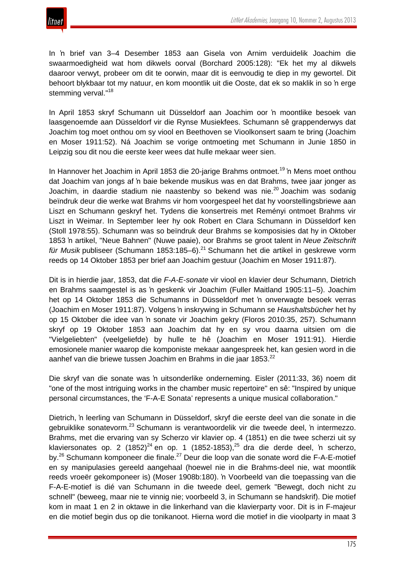

In 'n brief van 3–4 Desember 1853 aan Gisela von Arnim verduidelik Joachim die swaarmoedigheid wat hom dikwels oorval (Borchard 2005:128): "Ek het my al dikwels daaroor verwyt, probeer om dit te oorwin, maar dit is eenvoudig te diep in my gewortel. Dit behoort blykbaar tot my natuur, en kom moontlik uit die Ooste, dat ek so maklik in so 'n erge stemming verval."<sup>18</sup>

In April 1853 skryf Schumann uit Düsseldorf aan Joachim oor 'n moontlike besoek van laasgenoemde aan Düsseldorf vir die Rynse Musiekfees. Schumann sê grappenderwys dat Joachim tog moet onthou om sy viool en Beethoven se Vioolkonsert saam te bring (Joachim en Moser 1911:52). Ná Joachim se vorige ontmoeting met Schumann in Junie 1850 in Leipzig sou dit nou die eerste keer wees dat hulle mekaar weer sien.

In Hannover het Joachim in April 1853 die 20-jarige Brahms ontmoet.<sup>19</sup> 'n Mens moet onthou dat Joachim van jongs af 'n baie bekende musikus was en dat Brahms, twee jaar jonger as Joachim, in daardie stadium nie naastenby so bekend was nie.<sup>20</sup> Joachim was sodanig beïndruk deur die werke wat Brahms vir hom voorgespeel het dat hy voorstellingsbriewe aan Liszt en Schumann geskryf het. Tydens die konsertreis met Reményi ontmoet Brahms vir Liszt in Weimar. In September leer hy ook Robert en Clara Schumann in Düsseldorf ken (Stoll 1978:55). Schumann was so beïndruk deur Brahms se komposisies dat hy in Oktober 1853 'n artikel, "Neue Bahnen" (Nuwe paaie), oor Brahms se groot talent in *Neue Zeitschrift für Musik* publiseer (Schumann 1853:185–6).<sup>21</sup> Schumann het die artikel in geskrewe vorm reeds op 14 Oktober 1853 per brief aan Joachim gestuur (Joachim en Moser 1911:87).

Dit is in hierdie jaar, 1853, dat die *F-A-E-sonate* vir viool en klavier deur Schumann, Dietrich en Brahms saamgestel is as 'n geskenk vir Joachim (Fuller Maitland 1905:11–5). Joachim het op 14 Oktober 1853 die Schumanns in Düsseldorf met 'n onverwagte besoek verras (Joachim en Moser 1911:87). Volgens 'n inskrywing in Schumann se *Haushaltsbücher* het hy op 15 Oktober die idee van 'n sonate vir Joachim gekry (Floros 2010:35, 257). Schumann skryf op 19 Oktober 1853 aan Joachim dat hy en sy vrou daarna uitsien om die "Vielgeliebten" (veelgeliefde) by hulle te hê (Joachim en Moser 1911:91). Hierdie emosionele manier waarop die komponiste mekaar aangespreek het, kan gesien word in die aanhef van die briewe tussen Joachim en Brahms in die jaar 1853.<sup>22</sup>

Die skryf van die sonate was 'n uitsonderlike onderneming. Eisler (2011:33, 36) noem dit "one of the most intriguing works in the chamber music repertoire" en sê: "Inspired by unique personal circumstances, the 'F-A-E Sonata' represents a unique musical collaboration."

Dietrich, 'n leerling van Schumann in Düsseldorf, skryf die eerste deel van die sonate in die gebruiklike sonatevorm.<sup>23</sup> Schumann is verantwoordelik vir die tweede deel, 'n intermezzo. Brahms, met die ervaring van sy Scherzo vir klavier op. 4 (1851) en die twee scherzi uit sy klaviersonates op. 2  $(1852)^{24}$  en op. 1  $(1852-1853)^{25}$  dra die derde deel, 'n scherzo, by.<sup>26</sup> Schumann komponeer die finale.<sup>27</sup> Deur die loop van die sonate word die F-A-E-motief en sy manipulasies gereeld aangehaal (hoewel nie in die Brahms-deel nie, wat moontlik reeds vroeër gekomponeer is) (Moser 1908b:180). 'n Voorbeeld van die toepassing van die F-A-E-motief is dié van Schumann in die tweede deel, gemerk "Bewegt, doch nicht zu schnell" (beweeg, maar nie te vinnig nie; voorbeeld 3, in Schumann se handskrif). Die motief kom in maat 1 en 2 in oktawe in die linkerhand van die klavierparty voor. Dit is in F-majeur en die motief begin dus op die tonikanoot. Hierna word die motief in die vioolparty in maat 3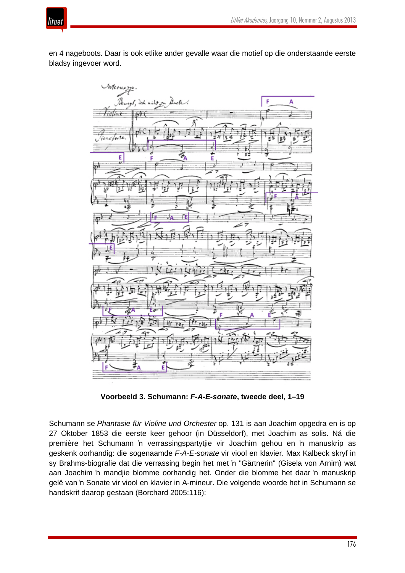

en 4 nageboots. Daar is ook etlike ander gevalle waar die motief op die onderstaande eerste bladsy ingevoer word.



**Voorbeeld 3. Schumann:** *F-A-E-sonate***, tweede deel, 1–19**

Schumann se *Phantasie für Violine und Orchester* op. 131 is aan Joachim opgedra en is op 27 Oktober 1853 die eerste keer gehoor (in Düsseldorf), met Joachim as solis. Ná die première het Schumann 'n verrassingspartytjie vir Joachim gehou en 'n manuskrip as geskenk oorhandig: die sogenaamde *F-A-E-sonate* vir viool en klavier. Max Kalbeck skryf in sy Brahms-biografie dat die verrassing begin het met 'n "Gärtnerin" (Gisela von Arnim) wat aan Joachim 'n mandjie blomme oorhandig het. Onder die blomme het daar 'n manuskrip gelê van 'n Sonate vir viool en klavier in A-mineur. Die volgende woorde het in Schumann se handskrif daarop gestaan (Borchard 2005:116):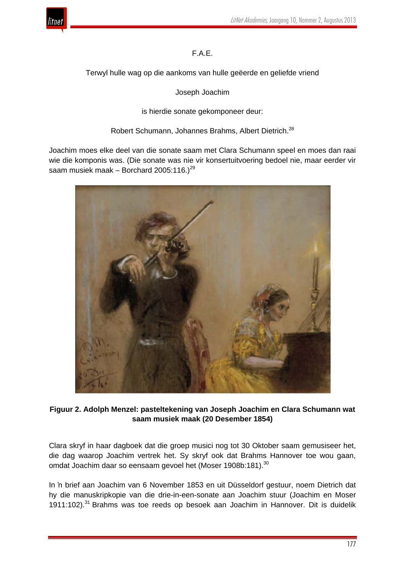

# F.A.E.

Terwyl hulle wag op die aankoms van hulle geëerde en geliefde vriend

Joseph Joachim

is hierdie sonate gekomponeer deur:

Robert Schumann, Johannes Brahms, Albert Dietrich.<sup>28</sup>

Joachim moes elke deel van die sonate saam met Clara Schumann speel en moes dan raai wie die komponis was. (Die sonate was nie vir konsertuitvoering bedoel nie, maar eerder vir saam musiek maak – Borchard 2005:116.)<sup>29</sup>



# **Figuur 2. Adolph Menzel: pasteltekening van Joseph Joachim en Clara Schumann wat saam musiek maak (20 Desember 1854)**

Clara skryf in haar dagboek dat die groep musici nog tot 30 Oktober saam gemusiseer het, die dag waarop Joachim vertrek het. Sy skryf ook dat Brahms Hannover toe wou gaan, omdat Joachim daar so eensaam gevoel het (Moser 1908b:181).<sup>30</sup>

In 'n brief aan Joachim van 6 November 1853 en uit Düsseldorf gestuur, noem Dietrich dat hy die manuskripkopie van die drie-in-een-sonate aan Joachim stuur (Joachim en Moser 1911:102).<sup>31</sup> Brahms was toe reeds op besoek aan Joachim in Hannover. Dit is duidelik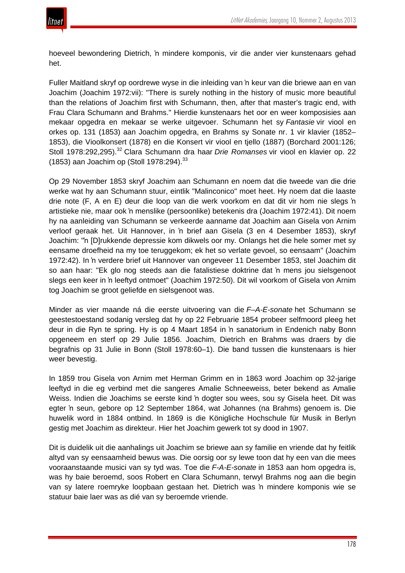

hoeveel bewondering Dietrich, 'n mindere komponis, vir die ander vier kunstenaars gehad het.

Fuller Maitland skryf op oordrewe wyse in die inleiding van 'n keur van die briewe aan en van Joachim (Joachim 1972:vii): "There is surely nothing in the history of music more beautiful than the relations of Joachim first with Schumann, then, after that master's tragic end, with Frau Clara Schumann and Brahms." Hierdie kunstenaars het oor en weer komposisies aan mekaar opgedra en mekaar se werke uitgevoer. Schumann het sy *Fantasie* vir viool en orkes op. 131 (1853) aan Joachim opgedra, en Brahms sy Sonate nr. 1 vir klavier (1852– 1853), die Vioolkonsert (1878) en die Konsert vir viool en tjello (1887) (Borchard 2001:126; Stoll 1978:292,295).<sup>32</sup> Clara Schumann dra haar *Drie Romanses* vir viool en klavier op. 22 (1853) aan Joachim op (Stoll 1978:294).<sup>33</sup>

Op 29 November 1853 skryf Joachim aan Schumann en noem dat die tweede van die drie werke wat hy aan Schumann stuur, eintlik "Malinconico" moet heet. Hy noem dat die laaste drie note (F, A en E) deur die loop van die werk voorkom en dat dit vir hom nie slegs 'n artistieke nie, maar ook 'n menslike (persoonlike) betekenis dra (Joachim 1972:41). Dit noem hy na aanleiding van Schumann se verkeerde aanname dat Joachim aan Gisela von Arnim verloof geraak het. Uit Hannover, in 'n brief aan Gisela (3 en 4 Desember 1853), skryf Joachim: "'n [D]rukkende depressie kom dikwels oor my. Onlangs het die hele somer met sy eensame droefheid na my toe teruggekom; ek het so verlate gevoel, so eensaam" (Joachim 1972:42). In 'n verdere brief uit Hannover van ongeveer 11 Desember 1853, stel Joachim dit so aan haar: "Ek glo nog steeds aan die fatalistiese doktrine dat 'n mens jou sielsgenoot slegs een keer in 'n leeftyd ontmoet" (Joachim 1972:50). Dit wil voorkom of Gisela von Arnim tog Joachim se groot geliefde en sielsgenoot was.

Minder as vier maande ná die eerste uitvoering van die *F–A-E-sonate* het Schumann se geestestoestand sodanig versleg dat hy op 22 Februarie 1854 probeer selfmoord pleeg het deur in die Ryn te spring. Hy is op 4 Maart 1854 in 'n sanatorium in Endenich naby Bonn opgeneem en sterf op 29 Julie 1856. Joachim, Dietrich en Brahms was draers by die begrafnis op 31 Julie in Bonn (Stoll 1978:60–1). Die band tussen die kunstenaars is hier weer bevestig.

In 1859 trou Gisela von Arnim met Herman Grimm en in 1863 word Joachim op 32-jarige leeftyd in die eg verbind met die sangeres Amalie Schneeweiss, beter bekend as Amalie Weiss. Indien die Joachims se eerste kind 'n dogter sou wees, sou sy Gisela heet. Dit was egter 'n seun, gebore op 12 September 1864, wat Johannes (na Brahms) genoem is. Die huwelik word in 1884 ontbind. In 1869 is die Königliche Hochschule für Musik in Berlyn gestig met Joachim as direkteur. Hier het Joachim gewerk tot sy dood in 1907.

Dit is duidelik uit die aanhalings uit Joachim se briewe aan sy familie en vriende dat hy feitlik altyd van sy eensaamheid bewus was. Die oorsig oor sy lewe toon dat hy een van die mees vooraanstaande musici van sy tyd was. Toe die *F-A-E-sonate* in 1853 aan hom opgedra is, was hy baie beroemd, soos Robert en Clara Schumann, terwyl Brahms nog aan die begin van sy latere roemryke loopbaan gestaan het. Dietrich was 'n mindere komponis wie se statuur baie laer was as dié van sy beroemde vriende.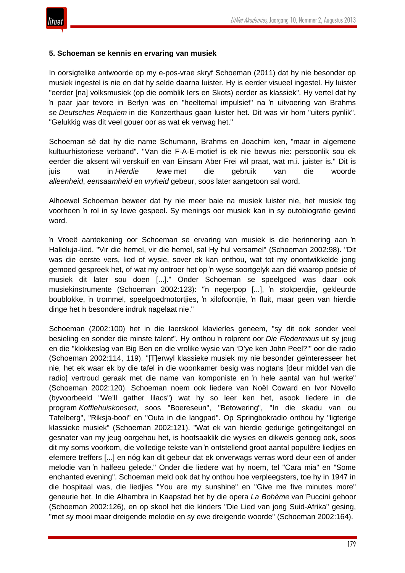

#### **5. Schoeman se kennis en ervaring van musiek**

In oorsigtelike antwoorde op my e-pos-vrae skryf Schoeman (2011) dat hy nie besonder op musiek ingestel is nie en dat hy selde daarna luister. Hy is eerder visueel ingestel. Hy luister "eerder [na] volksmusiek (op die oomblik Iers en Skots) eerder as klassiek". Hy vertel dat hy 'n paar jaar tevore in Berlyn was en "heeltemal impulsief" na 'n uitvoering van Brahms se *Deutsches Requiem* in die Konzerthaus gaan luister het. Dit was vir hom "uiters pynlik". "Gelukkig was dit veel gouer oor as wat ek verwag het."

Schoeman sê dat hy die name Schumann, Brahms en Joachim ken, "maar in algemene kultuurhistoriese verband". "Van die F-A-E-motief is ek nie bewus nie: persoonlik sou ek eerder die aksent wil verskuif en van Einsam Aber Frei wil praat, wat m.i. juister is." Dit is juis wat in *Hierdie lewe* met die gebruik van die woorde *alleenheid*, *eensaamheid* en *vryheid* gebeur, soos later aangetoon sal word.

Alhoewel Schoeman beweer dat hy nie meer baie na musiek luister nie, het musiek tog voorheen 'n rol in sy lewe gespeel. Sy menings oor musiek kan in sy outobiografie gevind word.

'n Vroeë aantekening oor Schoeman se ervaring van musiek is die herinnering aan 'n Halleluja-lied, "Vir die hemel, vir die hemel, sal Hy hul versamel" (Schoeman 2002:98). "Dit was die eerste vers, lied of wysie, sover ek kan onthou, wat tot my onontwikkelde jong gemoed gespreek het, of wat my ontroer het op 'n wyse soortgelyk aan dié waarop poësie of musiek dit later sou doen [...]." Onder Schoeman se speelgoed was daar ook musiekinstrumente (Schoeman 2002:123): "'n negerpop [...], 'n stokperdjie, gekleurde boublokke, 'n trommel, speelgoedmotortjies, 'n xilofoontjie, 'n fluit, maar geen van hierdie dinge het 'n besondere indruk nagelaat nie."

Schoeman (2002:100) het in die laerskool klavierles geneem, "sy dit ook sonder veel besieling en sonder die minste talent". Hy onthou 'n rolprent oor *Die Fledermaus* uit sy jeug en die "klokkeslag van Big Ben en die vrolike wysie van 'D'ye ken John Peel?'" oor die radio (Schoeman 2002:114, 119). "[T]erwyl klassieke musiek my nie besonder geïnteresseer het nie, het ek waar ek by die tafel in die woonkamer besig was nogtans [deur middel van die radio] vertroud geraak met die name van komponiste en 'n hele aantal van hul werke" (Schoeman 2002:120). Schoeman noem ook liedere van Noël Coward en Ivor Novello (byvoorbeeld "We'll gather lilacs") wat hy so leer ken het, asook liedere in die program *Koffiehuiskonsert*, soos "Boereseun", "Betowering", "In die skadu van ou Tafelberg", "Riksja-booi" en "Outa in die langpad". Op Springbokradio onthou hy "ligterige klassieke musiek" (Schoeman 2002:121). "Wat ek van hierdie gedurige getingeltangel en gesnater van my jeug oorgehou het, is hoofsaaklik die wysies en dikwels genoeg ook, soos dit my soms voorkom, die volledige tekste van 'n ontstellend groot aantal populêre liedjies en efemere treffers [...] en nóg kan dit gebeur dat ek onverwags verras word deur een of ander melodie van 'n halfeeu gelede." Onder die liedere wat hy noem, tel "Cara mia" en "Some enchanted evening". Schoeman meld ook dat hy onthou hoe verpleegsters, toe hy in 1947 in die hospitaal was, die liedjies "You are my sunshine" en "Give me five minutes more" geneurie het. In die Alhambra in Kaapstad het hy die opera *La Bohème* van Puccini gehoor (Schoeman 2002:126), en op skool het die kinders "Die Lied van jong Suid-Afrika" gesing, "met sy mooi maar dreigende melodie en sy ewe dreigende woorde" (Schoeman 2002:164).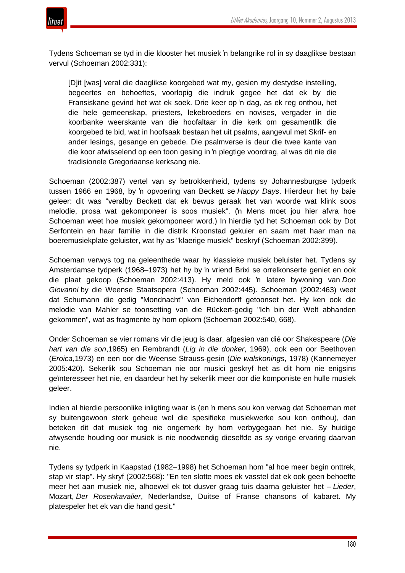

Tydens Schoeman se tyd in die klooster het musiek 'n belangrike rol in sy daaglikse bestaan vervul (Schoeman 2002:331):

[D]it [was] veral die daaglikse koorgebed wat my, gesien my destydse instelling, begeertes en behoeftes, voorlopig die indruk gegee het dat ek by die Fransiskane gevind het wat ek soek. Drie keer op 'n dag, as ek reg onthou, het die hele gemeenskap, priesters, lekebroeders en novises, vergader in die koorbanke weerskante van die hoofaltaar in die kerk om gesamentlik die koorgebed te bid, wat in hoofsaak bestaan het uit psalms, aangevul met Skrif- en ander lesings, gesange en gebede. Die psalmverse is deur die twee kante van die koor afwisselend op een toon gesing in 'n plegtige voordrag, al was dit nie die tradisionele Gregoriaanse kerksang nie.

Schoeman (2002:387) vertel van sy betrokkenheid, tydens sy Johannesburgse tydperk tussen 1966 en 1968, by 'n opvoering van Beckett se *Happy Days*. Hierdeur het hy baie geleer: dit was "veralby Beckett dat ek bewus geraak het van woorde wat klink soos melodie, prosa wat gekomponeer is soos musiek". ('n Mens moet jou hier afvra hoe Schoeman weet hoe musiek gekomponeer word.) In hierdie tyd het Schoeman ook by Dot Serfontein en haar familie in die distrik Kroonstad gekuier en saam met haar man na boeremusiekplate geluister, wat hy as "klaerige musiek" beskryf (Schoeman 2002:399).

Schoeman verwys tog na geleenthede waar hy klassieke musiek beluister het. Tydens sy Amsterdamse tydperk (1968–1973) het hy by 'n vriend Brixi se orrelkonserte geniet en ook die plaat gekoop (Schoeman 2002:413). Hy meld ook 'n latere bywoning van *Don Giovanni* by die Weense Staatsopera (Schoeman 2002:445). Schoeman (2002:463) weet dat Schumann die gedig "Mondnacht" van Eichendorff getoonset het. Hy ken ook die melodie van Mahler se toonsetting van die Rückert-gedig "Ich bin der Welt abhanden gekommen", wat as fragmente by hom opkom (Schoeman 2002:540, 668).

Onder Schoeman se vier romans vir die jeug is daar, afgesien van dié oor Shakespeare (*Die hart van die son*,1965) en Rembrandt (*Lig in die donker*, 1969), ook een oor Beethoven (*Eroica*,1973) en een oor die Weense Strauss-gesin (*Die walskonings*, 1978) (Kannemeyer 2005:420). Sekerlik sou Schoeman nie oor musici geskryf het as dit hom nie enigsins geïnteresseer het nie, en daardeur het hy sekerlik meer oor die komponiste en hulle musiek geleer.

Indien al hierdie persoonlike inligting waar is (en 'n mens sou kon verwag dat Schoeman met sy buitengewoon sterk geheue wel die spesifieke musiekwerke sou kon onthou), dan beteken dit dat musiek tog nie ongemerk by hom verbygegaan het nie. Sy huidige afwysende houding oor musiek is nie noodwendig dieselfde as sy vorige ervaring daarvan nie.

Tydens sy tydperk in Kaapstad (1982–1998) het Schoeman hom "al hoe meer begin onttrek, stap vir stap". Hy skryf (2002:568): "En ten slotte moes ek vasstel dat ek ook geen behoefte meer het aan musiek nie, alhoewel ek tot dusver graag tuis daarna geluister het – *Lieder*, Mozart, *Der Rosenkavalier*, Nederlandse, Duitse of Franse chansons of kabaret. My platespeler het ek van die hand gesit."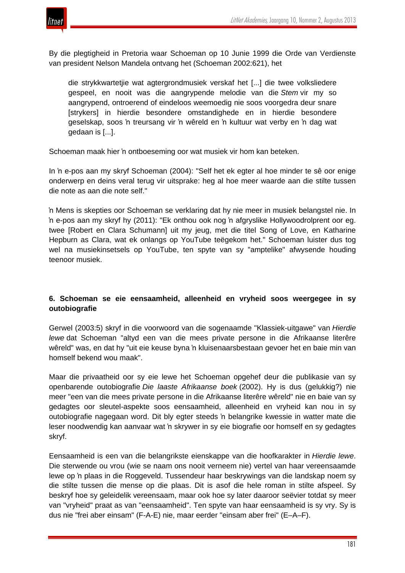

By die plegtigheid in Pretoria waar Schoeman op 10 Junie 1999 die Orde van Verdienste van president Nelson Mandela ontvang het (Schoeman 2002:621), het

die strykkwartetjie wat agtergrondmusiek verskaf het [...] die twee volksliedere gespeel, en nooit was die aangrypende melodie van die *Stem* vir my so aangrypend, ontroerend of eindeloos weemoedig nie soos voorgedra deur snare [strykers] in hierdie besondere omstandighede en in hierdie besondere geselskap, soos 'n treursang vir 'n wêreld en 'n kultuur wat verby en 'n dag wat gedaan is [...].

Schoeman maak hier 'n ontboeseming oor wat musiek vir hom kan beteken.

In 'n e-pos aan my skryf Schoeman (2004): "Self het ek egter al hoe minder te sê oor enige onderwerp en deins veral terug vir uitsprake: heg al hoe meer waarde aan die stilte tussen die note as aan die note self."

'n Mens is skepties oor Schoeman se verklaring dat hy nie meer in musiek belangstel nie. In 'n e-pos aan my skryf hy (2011): "Ek onthou ook nog 'n afgryslike Hollywoodrolprent oor eg. twee [Robert en Clara Schumann] uit my jeug, met die titel Song of Love, en Katharine Hepburn as Clara, wat ek onlangs op YouTube teëgekom het." Schoeman luister dus tog wel na musiekinsetsels op YouTube, ten spyte van sy "amptelike" afwysende houding teenoor musiek.

# **6. Schoeman se eie eensaamheid, alleenheid en vryheid soos weergegee in sy outobiografie**

Gerwel (2003:5) skryf in die voorwoord van die sogenaamde "Klassiek-uitgawe" van *Hierdie lewe* dat Schoeman "altyd een van die mees private persone in die Afrikaanse literêre wêreld" was, en dat hy "uit eie keuse byna 'n kluisenaarsbestaan gevoer het en baie min van homself bekend wou maak".

Maar die privaatheid oor sy eie lewe het Schoeman opgehef deur die publikasie van sy openbarende outobiografie *Die laaste Afrikaanse boek* (2002). Hy is dus (gelukkig?) nie meer "een van die mees private persone in die Afrikaanse literêre wêreld" nie en baie van sy gedagtes oor sleutel-aspekte soos eensaamheid, alleenheid en vryheid kan nou in sy outobiografie nagegaan word. Dit bly egter steeds 'n belangrike kwessie in watter mate die leser noodwendig kan aanvaar wat 'n skrywer in sy eie biografie oor homself en sy gedagtes skryf.

Eensaamheid is een van die belangrikste eienskappe van die hoofkarakter in *Hierdie lewe*. Die sterwende ou vrou (wie se naam ons nooit verneem nie) vertel van haar vereensaamde lewe op 'n plaas in die Roggeveld. Tussendeur haar beskrywings van die landskap noem sy die stilte tussen die mense op die plaas. Dit is asof die hele roman in stilte afspeel. Sy beskryf hoe sy geleidelik vereensaam, maar ook hoe sy later daaroor seëvier totdat sy meer van "vryheid" praat as van "eensaamheid". Ten spyte van haar eensaamheid is sy vry. Sy is dus nie "frei aber einsam" (F-A-E) nie, maar eerder "einsam aber frei" (E–A–F).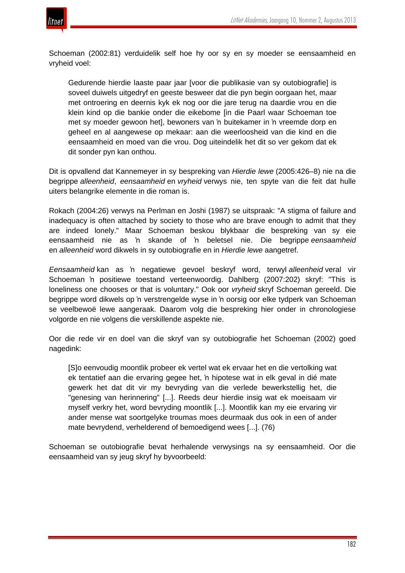



Schoeman (2002:81) verduidelik self hoe hy oor sy en sy moeder se eensaamheid en vryheid voel:

Gedurende hierdie laaste paar jaar [voor die publikasie van sy outobiografie] is soveel duiwels uitgedryf en geeste besweer dat die pyn begin oorgaan het, maar met ontroering en deernis kyk ek nog oor die jare terug na daardie vrou en die klein kind op die bankie onder die eikebome [in die Paarl waar Schoeman toe met sy moeder gewoon het], bewoners van 'n buitekamer in 'n vreemde dorp en geheel en al aangewese op mekaar: aan die weerloosheid van die kind en die eensaamheid en moed van die vrou. Dog uiteindelik het dit so ver gekom dat ek dit sonder pyn kan onthou.

Dit is opvallend dat Kannemeyer in sy bespreking van *Hierdie lewe* (2005:426–8) nie na die begrippe *alleenheid*, *eensaamheid* en *vryheid* verwys nie, ten spyte van die feit dat hulle uiters belangrike elemente in die roman is.

Rokach (2004:26) verwys na Perlman en Joshi (1987) se uitspraak: "A stigma of failure and inadequacy is often attached by society to those who are brave enough to admit that they are indeed lonely." Maar Schoeman beskou blykbaar die bespreking van sy eie eensaamheid nie as 'n skande of 'n beletsel nie. Die begrippe *eensaamheid* en *alleenheid* word dikwels in sy outobiografie en in *Hierdie lewe* aangetref.

*Eensaamheid* kan as 'n negatiewe gevoel beskryf word, terwyl *alleenheid* veral vir Schoeman 'n positiewe toestand verteenwoordig. Dahlberg (2007:202) skryf: "This is loneliness one chooses or that is voluntary." Ook oor *vryheid* skryf Schoeman gereeld. Die begrippe word dikwels op 'n verstrengelde wyse in 'n oorsig oor elke tydperk van Schoeman se veelbewoë lewe aangeraak. Daarom volg die bespreking hier onder in chronologiese volgorde en nie volgens die verskillende aspekte nie.

Oor die rede vir en doel van die skryf van sy outobiografie het Schoeman (2002) goed nagedink:

[S]o eenvoudig moontlik probeer ek vertel wat ek ervaar het en die vertolking wat ek tentatief aan die ervaring gegee het, 'n hipotese wat in elk geval in dié mate gewerk het dat dit vir my bevryding van die verlede bewerkstellig het, die "genesing van herinnering" [...]. Reeds deur hierdie insig wat ek moeisaam vir myself verkry het, word bevryding moontlik [...]. Moontlik kan my eie ervaring vir ander mense wat soortgelyke troumas moes deurmaak dus ook in een of ander mate bevrydend, verhelderend of bemoedigend wees [...]. (76)

Schoeman se outobiografie bevat herhalende verwysings na sy eensaamheid. Oor die eensaamheid van sy jeug skryf hy byvoorbeeld: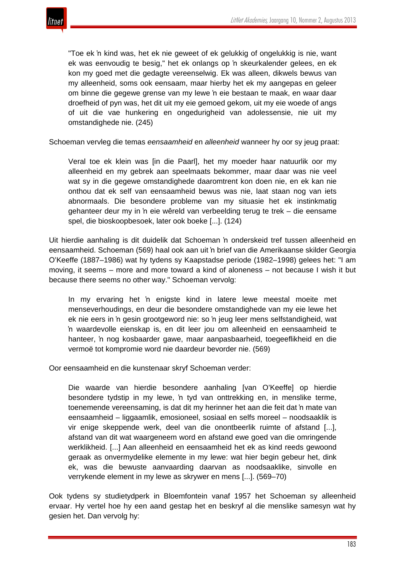

"Toe ek 'n kind was, het ek nie geweet of ek gelukkig of ongelukkig is nie, want ek was eenvoudig te besig," het ek onlangs op 'n skeurkalender gelees, en ek kon my goed met die gedagte vereenselwig. Ek was alleen, dikwels bewus van my alleenheid, soms ook eensaam, maar hierby het ek my aangepas en geleer om binne die gegewe grense van my lewe 'n eie bestaan te maak, en waar daar droefheid of pyn was, het dit uit my eie gemoed gekom, uit my eie woede of angs of uit die vae hunkering en ongedurigheid van adolessensie, nie uit my omstandighede nie. (245)

Schoeman vervleg die temas *eensaamheid* en *alleenheid* wanneer hy oor sy jeug praat:

Veral toe ek klein was [in die Paarl], het my moeder haar natuurlik oor my alleenheid en my gebrek aan speelmaats bekommer, maar daar was nie veel wat sy in die gegewe omstandighede daaromtrent kon doen nie, en ek kan nie onthou dat ek self van eensaamheid bewus was nie, laat staan nog van iets abnormaals. Die besondere probleme van my situasie het ek instinkmatig gehanteer deur my in 'n eie wêreld van verbeelding terug te trek – die eensame spel, die bioskoopbesoek, later ook boeke [...]. (124)

Uit hierdie aanhaling is dit duidelik dat Schoeman 'n onderskeid tref tussen alleenheid en eensaamheid. Schoeman (569) haal ook aan uit 'n brief van die Amerikaanse skilder Georgia O'Keeffe (1887–1986) wat hy tydens sy Kaapstadse periode (1982–1998) gelees het: "I am moving, it seems – more and more toward a kind of aloneness – not because I wish it but because there seems no other way." Schoeman vervolg:

In my ervaring het 'n enigste kind in latere lewe meestal moeite met menseverhoudings, en deur die besondere omstandighede van my eie lewe het ek nie eers in 'n gesin grootgeword nie: so 'n jeug leer mens selfstandigheid, wat 'n waardevolle eienskap is, en dit leer jou om alleenheid en eensaamheid te hanteer, 'n nog kosbaarder gawe, maar aanpasbaarheid, toegeeflikheid en die vermoë tot kompromie word nie daardeur bevorder nie. (569)

Oor eensaamheid en die kunstenaar skryf Schoeman verder:

Die waarde van hierdie besondere aanhaling [van O'Keeffe] op hierdie besondere tydstip in my lewe, 'n tyd van onttrekking en, in menslike terme, toenemende vereensaming, is dat dit my herinner het aan die feit dat 'n mate van eensaamheid – liggaamlik, emosioneel, sosiaal en selfs moreel – noodsaaklik is vir enige skeppende werk, deel van die onontbeerlik ruimte of afstand [...], afstand van dit wat waargeneem word en afstand ewe goed van die omringende werklikheid. [...] Aan alleenheid en eensaamheid het ek as kind reeds gewoond geraak as onvermydelike elemente in my lewe: wat hier begin gebeur het, dink ek, was die bewuste aanvaarding daarvan as noodsaaklike, sinvolle en verrykende element in my lewe as skrywer en mens [...]. (569–70)

Ook tydens sy studietydperk in Bloemfontein vanaf 1957 het Schoeman sy alleenheid ervaar. Hy vertel hoe hy een aand gestap het en beskryf al die menslike samesyn wat hy gesien het. Dan vervolg hy: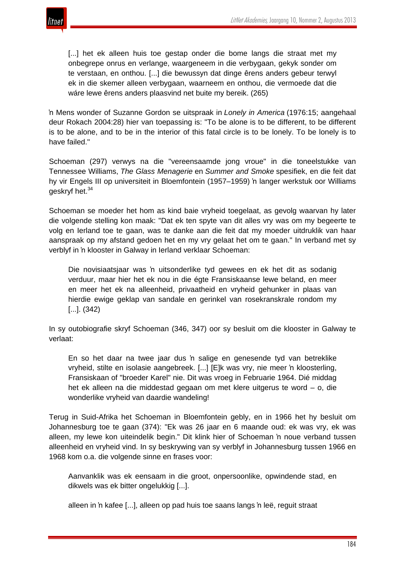

[...] het ek alleen huis toe gestap onder die bome langs die straat met my onbegrepe onrus en verlange, waargeneem in die verbygaan, gekyk sonder om te verstaan, en onthou. [...] die bewussyn dat dinge êrens anders gebeur terwyl ek in die skemer alleen verbygaan, waarneem en onthou, die vermoede dat die wáre lewe êrens anders plaasvind net buite my bereik. (265)

'n Mens wonder of Suzanne Gordon se uitspraak in *Lonely in America* (1976:15; aangehaal deur Rokach 2004:28) hier van toepassing is: "To be alone is to be different, to be different is to be alone, and to be in the interior of this fatal circle is to be lonely. To be lonely is to have failed."

Schoeman (297) verwys na die "vereensaamde jong vroue" in die toneelstukke van Tennessee Williams, *The Glass Menagerie* en *Summer and Smoke* spesifiek, en die feit dat hy vir Engels III op universiteit in Bloemfontein (1957–1959) 'n langer werkstuk oor Williams geskryf het.<sup>34</sup>

Schoeman se moeder het hom as kind baie vryheid toegelaat, as gevolg waarvan hy later die volgende stelling kon maak: "Dat ek ten spyte van dit alles vry was om my begeerte te volg en Ierland toe te gaan, was te danke aan die feit dat my moeder uitdruklik van haar aanspraak op my afstand gedoen het en my vry gelaat het om te gaan." In verband met sy verblyf in 'n klooster in Galway in Ierland verklaar Schoeman:

Die novisiaatsjaar was 'n uitsonderlike tyd gewees en ek het dit as sodanig verduur, maar hier het ek nou in die égte Fransiskaanse lewe beland, en meer en meer het ek na alleenheid, privaatheid en vryheid gehunker in plaas van hierdie ewige geklap van sandale en gerinkel van rosekranskrale rondom my [...]. (342)

In sy outobiografie skryf Schoeman (346, 347) oor sy besluit om die klooster in Galway te verlaat:

En so het daar na twee jaar dus 'n salige en genesende tyd van betreklike vryheid, stilte en isolasie aangebreek. [...] [E]k was vry, nie meer 'n kloosterling, Fransiskaan of "broeder Karel" nie. Dit was vroeg in Februarie 1964. Dié middag het ek alleen na die middestad gegaan om met klere uitgerus te word – o, die wonderlike vryheid van daardie wandeling!

Terug in Suid-Afrika het Schoeman in Bloemfontein gebly, en in 1966 het hy besluit om Johannesburg toe te gaan (374): "Ek was 26 jaar en 6 maande oud: ek was vry, ek was alleen, my lewe kon uiteindelik begin." Dit klink hier of Schoeman 'n noue verband tussen alleenheid en vryheid vind. In sy beskrywing van sy verblyf in Johannesburg tussen 1966 en 1968 kom o.a. die volgende sinne en frases voor:

Aanvanklik was ek eensaam in die groot, onpersoonlike, opwindende stad, en dikwels was ek bitter ongelukkig [...].

alleen in 'n kafee [...], alleen op pad huis toe saans langs 'n leë, reguit straat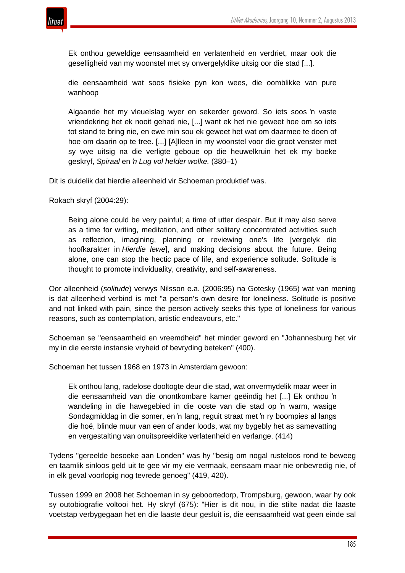

Ek onthou geweldige eensaamheid en verlatenheid en verdriet, maar ook die geselligheid van my woonstel met sy onvergelyklike uitsig oor die stad [...].

die eensaamheid wat soos fisieke pyn kon wees, die oomblikke van pure wanhoop

Algaande het my vleuelslag wyer en sekerder geword. So iets soos 'n vaste vriendekring het ek nooit gehad nie, [...] want ek het nie geweet hoe om so iets tot stand te bring nie, en ewe min sou ek geweet het wat om daarmee te doen of hoe om daarin op te tree. [...] [A]lleen in my woonstel voor die groot venster met sy wye uitsig na die verligte geboue op die heuwelkruin het ek my boeke geskryf, *Spiraal* en *'n Lug vol helder wolke.* (380–1)

Dit is duidelik dat hierdie alleenheid vir Schoeman produktief was.

Rokach skryf (2004:29):

Being alone could be very painful; a time of utter despair. But it may also serve as a time for writing, meditation, and other solitary concentrated activities such as reflection, imagining, planning or reviewing one's life [vergelyk die hoofkarakter in *Hierdie lewe*], and making decisions about the future. Being alone, one can stop the hectic pace of life, and experience solitude. Solitude is thought to promote individuality, creativity, and self-awareness.

Oor alleenheid (*solitude*) verwys Nilsson e.a. (2006:95) na Gotesky (1965) wat van mening is dat alleenheid verbind is met "a person's own desire for loneliness. Solitude is positive and not linked with pain, since the person actively seeks this type of loneliness for various reasons, such as contemplation, artistic endeavours, etc."

Schoeman se "eensaamheid en vreemdheid" het minder geword en "Johannesburg het vir my in die eerste instansie vryheid of bevryding beteken" (400).

Schoeman het tussen 1968 en 1973 in Amsterdam gewoon:

Ek onthou lang, radelose dooltogte deur die stad, wat onvermydelik maar weer in die eensaamheid van die onontkombare kamer geëindig het [...] Ek onthou 'n wandeling in die hawegebied in die ooste van die stad op 'n warm, wasige Sondagmiddag in die somer, en 'n lang, reguit straat met 'n ry boompies al langs die hoë, blinde muur van een of ander loods, wat my bygebly het as samevatting en vergestalting van onuitspreeklike verlatenheid en verlange. (414)

Tydens "gereelde besoeke aan Londen" was hy "besig om nogal rusteloos rond te beweeg en taamlik sinloos geld uit te gee vir my eie vermaak, eensaam maar nie onbevredig nie, of in elk geval voorlopig nog tevrede genoeg" (419, 420).

Tussen 1999 en 2008 het Schoeman in sy geboortedorp, Trompsburg, gewoon, waar hy ook sy outobiografie voltooi het. Hy skryf (675): "Hier is dit nou, in die stilte nadat die laaste voetstap verbygegaan het en die laaste deur gesluit is, die eensaamheid wat geen einde sal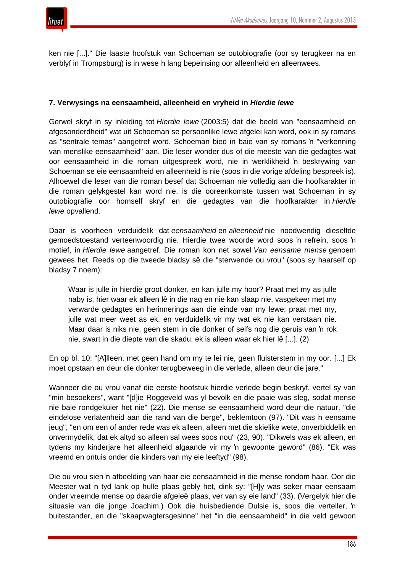ken nie [...]." Die laaste hoofstuk van Schoeman se outobiografie (oor sy terugkeer na en verblyf in Trompsburg) is in wese 'n lang bepeinsing oor alleenheid en alleenwees.

# **7. Verwysings na eensaamheid, alleenheid en vryheid in** *Hierdie lewe*

Gerwel skryf in sy inleiding tot *Hierdie lewe* (2003:5) dat die beeld van "eensaamheid en afgesonderdheid" wat uit Schoeman se persoonlike lewe afgelei kan word, ook in sy romans as "sentrale temas" aangetref word. Schoeman bied in baie van sy romans 'n "verkenning van menslike eensaamheid" aan. Die leser wonder dus of die meeste van die gedagtes wat oor eensaamheid in die roman uitgespreek word, nie in werklikheid 'n beskrywing van Schoeman se eie eensaamheid en alleenheid is nie (soos in die vorige afdeling bespreek is). Alhoewel die leser van die roman besef dat Schoeman nie volledig aan die hoofkarakter in die roman gelykgestel kan word nie, is die ooreenkomste tussen wat Schoeman in sy outobiografie oor homself skryf en die gedagtes van die hoofkarakter in *Hierdie lewe* opvallend.

Daar is voorheen verduidelik dat *eensaamheid* en *alleenheid* nie noodwendig dieselfde gemoedstoestand verteenwoordig nie. Hierdie twee woorde word soos 'n refrein, soos 'n motief, in *Hierdie lewe* aangetref. Die roman kon net sowel *Van eensame mense* genoem gewees het. Reeds op die tweede bladsy sê die "sterwende ou vrou" (soos sy haarself op bladsy 7 noem):

Waar is julle in hierdie groot donker, en kan julle my hoor? Praat met my as julle naby is, hier waar ek alleen lê in die nag en nie kan slaap nie, vasgekeer met my verwarde gedagtes en herinnerings aan die einde van my lewe; praat met my, julle wat meer weet as ek, en verduidelik vir my wat ek nie kan verstaan nie. Maar daar is niks nie, geen stem in die donker of selfs nog die geruis van 'n rok nie, swart in die diepte van die skadu: ek is alleen waar ek hier lê [...]. (2)

En op bl. 10: "[A]lleen, met geen hand om my te lei nie, geen fluisterstem in my oor. [...] Ek moet opstaan en deur die donker terugbeweeg in die verlede, alleen deur die jare."

Wanneer die ou vrou vanaf die eerste hoofstuk hierdie verlede begin beskryf, vertel sy van "min besoekers", want "[d]ie Roggeveld was yl bevolk en die paaie was sleg, sodat mense nie baie rondgekuier het nie" (22). Die mense se eensaamheid word deur die natuur, "die eindelose verlatenheid aan die rand van die berge", beklemtoon (97). "Dit was 'n eensame jeug", "en om een of ander rede was ek alleen, alleen met die skielike wete, onverbiddelik en onvermydelik, dat ek altyd so alleen sal wees soos nou" (23, 90). "Dikwels was ek alleen, en tydens my kinderjare het alleenheid algaande vir my 'n gewoonte geword" (86). "Ek was vreemd en ontuis onder die kinders van my eie leeftyd" (98).

Die ou vrou sien 'n afbeelding van haar eie eensaamheid in die mense rondom haar. Oor die Meester wat 'n tyd lank op hulle plaas gebly het, dink sy: "[H]y was seker maar eensaam onder vreemde mense op daardie afgeleë plaas, ver van sy eie land" (33). (Vergelyk hier die situasie van die jonge Joachim.) Ook die huisbediende Dulsie is, soos die verteller, 'n buitestander, en die "skaapwagtersgesinne" het "in die eensaamheid" in die veld gewoon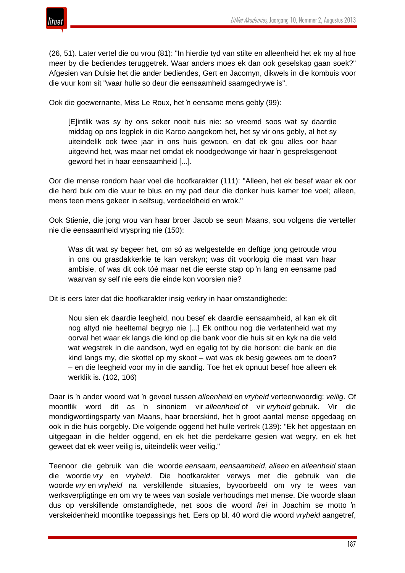

(26, 51). Later vertel die ou vrou (81): "In hierdie tyd van stilte en alleenheid het ek my al hoe meer by die bediendes teruggetrek. Waar anders moes ek dan ook geselskap gaan soek?" Afgesien van Dulsie het die ander bediendes, Gert en Jacomyn, dikwels in die kombuis voor die vuur kom sit "waar hulle so deur die eensaamheid saamgedrywe is".

Ook die goewernante, Miss Le Roux, het 'n eensame mens gebly (99):

[E]intlik was sy by ons seker nooit tuis nie: so vreemd soos wat sy daardie middag op ons legplek in die Karoo aangekom het, het sy vir ons gebly, al het sy uiteindelik ook twee jaar in ons huis gewoon, en dat ek gou alles oor haar uitgevind het, was maar net omdat ek noodgedwonge vir haar 'n gespreksgenoot geword het in haar eensaamheid [...].

Oor die mense rondom haar voel die hoofkarakter (111): "Alleen, het ek besef waar ek oor die herd buk om die vuur te blus en my pad deur die donker huis kamer toe voel; alleen, mens teen mens gekeer in selfsug, verdeeldheid en wrok."

Ook Stienie, die jong vrou van haar broer Jacob se seun Maans, sou volgens die verteller nie die eensaamheid vryspring nie (150):

Was dit wat sy begeer het, om só as welgestelde en deftige jong getroude vrou in ons ou grasdakkerkie te kan verskyn; was dit voorlopig die maat van haar ambisie, of was dit ook tóé maar net die eerste stap op 'n lang en eensame pad waarvan sy self nie eers die einde kon voorsien nie?

Dit is eers later dat die hoofkarakter insig verkry in haar omstandighede:

Nou sien ek daardie leegheid, nou besef ek daardie eensaamheid, al kan ek dit nog altyd nie heeltemal begryp nie [...] Ek onthou nog die verlatenheid wat my oorval het waar ek langs die kind op die bank voor die huis sit en kyk na die veld wat wegstrek in die aandson, wyd en egalig tot by die horison: die bank en die kind langs my, die skottel op my skoot – wat was ek besig gewees om te doen? – en die leegheid voor my in die aandlig. Toe het ek opnuut besef hoe alleen ek werklik is. (102, 106)

Daar is 'n ander woord wat 'n gevoel tussen *alleenheid* en *vryheid* verteenwoordig: *veilig*. Of moontlik word dit as 'n sinoniem vir *alleenheid* of vir *vryheid* gebruik. Vir die mondigwordingsparty van Maans, haar broerskind, het 'n groot aantal mense opgedaag en ook in die huis oorgebly. Die volgende oggend het hulle vertrek (139): "Ek het opgestaan en uitgegaan in die helder oggend, en ek het die perdekarre gesien wat wegry, en ek het geweet dat ek weer veilig is, uiteindelik weer veilig."

Teenoor die gebruik van die woorde *eensaam*, *eensaamheid*, *alleen* en *alleenheid* staan die woorde *vry* en *vryheid*. Die hoofkarakter verwys met die gebruik van die woorde *vry* en *vryheid* na verskillende situasies, byvoorbeeld om vry te wees van werksverpligtinge en om vry te wees van sosiale verhoudings met mense. Die woorde slaan dus op verskillende omstandighede, net soos die woord *frei* in Joachim se motto 'n verskeidenheid moontlike toepassings het. Eers op bl. 40 word die woord *vryheid* aangetref,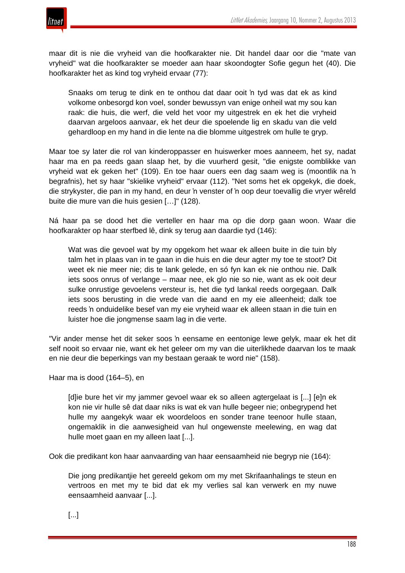

maar dit is nie die vryheid van die hoofkarakter nie. Dit handel daar oor die "mate van vryheid" wat die hoofkarakter se moeder aan haar skoondogter Sofie gegun het (40). Die hoofkarakter het as kind tog vryheid ervaar (77):

Snaaks om terug te dink en te onthou dat daar ooit 'n tyd was dat ek as kind volkome onbesorgd kon voel, sonder bewussyn van enige onheil wat my sou kan raak: die huis, die werf, die veld het voor my uitgestrek en ek het die vryheid daarvan argeloos aanvaar, ek het deur die spoelende lig en skadu van die veld gehardloop en my hand in die lente na die blomme uitgestrek om hulle te gryp.

Maar toe sy later die rol van kinderoppasser en huiswerker moes aanneem, het sy, nadat haar ma en pa reeds gaan slaap het, by die vuurherd gesit, "die enigste oomblikke van vryheid wat ek geken het" (109). En toe haar ouers een dag saam weg is (moontlik na 'n begrafnis), het sy haar "skielike vryheid" ervaar (112). "Net soms het ek opgekyk, die doek, die strykyster, die pan in my hand, en deur 'n venster of 'n oop deur toevallig die vryer wêreld buite die mure van die huis gesien […]" (128).

Ná haar pa se dood het die verteller en haar ma op die dorp gaan woon. Waar die hoofkarakter op haar sterfbed lê, dink sy terug aan daardie tyd (146):

Wat was die gevoel wat by my opgekom het waar ek alleen buite in die tuin bly talm het in plaas van in te gaan in die huis en die deur agter my toe te stoot? Dit weet ek nie meer nie; dis te lank gelede, en só fyn kan ek nie onthou nie. Dalk iets soos onrus of verlange – maar nee, ek glo nie so nie, want as ek ooit deur sulke onrustige gevoelens versteur is, het die tyd lankal reeds oorgegaan. Dalk iets soos berusting in die vrede van die aand en my eie alleenheid; dalk toe reeds 'n onduidelike besef van my eie vryheid waar ek alleen staan in die tuin en luister hoe die jongmense saam lag in die verte.

"Vir ander mense het dit seker soos 'n eensame en eentonige lewe gelyk, maar ek het dit self nooit so ervaar nie, want ek het geleer om my van die uiterlikhede daarvan los te maak en nie deur die beperkings van my bestaan geraak te word nie" (158).

Haar ma is dood (164–5), en

[d]ie bure het vir my jammer gevoel waar ek so alleen agtergelaat is [...] [e]n ek kon nie vir hulle sê dat daar niks is wat ek van hulle begeer nie; onbegrypend het hulle my aangekyk waar ek woordeloos en sonder trane teenoor hulle staan, ongemaklik in die aanwesigheid van hul ongewenste meelewing, en wag dat hulle moet gaan en my alleen laat [...].

Ook die predikant kon haar aanvaarding van haar eensaamheid nie begryp nie (164):

Die jong predikantjie het gereeld gekom om my met Skrifaanhalings te steun en vertroos en met my te bid dat ek my verlies sal kan verwerk en my nuwe eensaamheid aanvaar [...].

[...]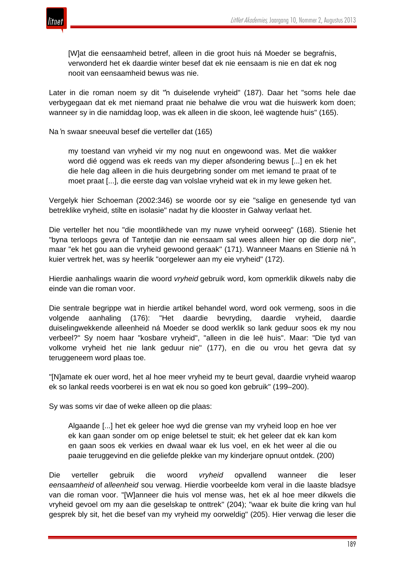

[W]at die eensaamheid betref, alleen in die groot huis ná Moeder se begrafnis, verwonderd het ek daardie winter besef dat ek nie eensaam is nie en dat ek nog nooit van eensaamheid bewus was nie.

Later in die roman noem sy dit "'n duiselende vryheid" (187). Daar het "soms hele dae verbygegaan dat ek met niemand praat nie behalwe die vrou wat die huiswerk kom doen; wanneer sy in die namiddag loop, was ek alleen in die skoon, leë wagtende huis" (165).

Na 'n swaar sneeuval besef die verteller dat (165)

my toestand van vryheid vir my nog nuut en ongewoond was. Met die wakker word dié oggend was ek reeds van my dieper afsondering bewus [...] en ek het die hele dag alleen in die huis deurgebring sonder om met iemand te praat of te moet praat [...], die eerste dag van volslae vryheid wat ek in my lewe geken het.

Vergelyk hier Schoeman (2002:346) se woorde oor sy eie "salige en genesende tyd van betreklike vryheid, stilte en isolasie" nadat hy die klooster in Galway verlaat het.

Die verteller het nou "die moontlikhede van my nuwe vryheid oorweeg" (168). Stienie het "byna terloops gevra of Tantetjie dan nie eensaam sal wees alleen hier op die dorp nie", maar "ek het gou aan die vryheid gewoond geraak" (171). Wanneer Maans en Stienie ná 'n kuier vertrek het, was sy heerlik "oorgelewer aan my eie vryheid" (172).

Hierdie aanhalings waarin die woord *vryheid* gebruik word, kom opmerklik dikwels naby die einde van die roman voor.

Die sentrale begrippe wat in hierdie artikel behandel word, word ook vermeng, soos in die volgende aanhaling (176): "Het daardie bevryding, daardie vryheid, daardie duiselingwekkende alleenheid ná Moeder se dood werklik so lank geduur soos ek my nou verbeel?" Sy noem haar "kosbare vryheid", "alleen in die leë huis". Maar: "Die tyd van volkome vryheid het nie lank geduur nie" (177), en die ou vrou het gevra dat sy teruggeneem word plaas toe.

"[N]amate ek ouer word, het al hoe meer vryheid my te beurt geval, daardie vryheid waarop ek so lankal reeds voorberei is en wat ek nou so goed kon gebruik" (199–200).

Sy was soms vir dae of weke alleen op die plaas:

Algaande [...] het ek geleer hoe wyd die grense van my vryheid loop en hoe ver ek kan gaan sonder om op enige beletsel te stuit; ek het geleer dat ek kan kom en gaan soos ek verkies en dwaal waar ek lus voel, en ek het weer al die ou paaie teruggevind en die geliefde plekke van my kinderjare opnuut ontdek. (200)

Die verteller gebruik die woord *vryheid* opvallend wanneer die leser *eensaamheid* of *alleenheid* sou verwag. Hierdie voorbeelde kom veral in die laaste bladsye van die roman voor. "[W]anneer die huis vol mense was, het ek al hoe meer dikwels die vryheid gevoel om my aan die geselskap te onttrek" (204); "waar ek buite die kring van hul gesprek bly sit, het die besef van my vryheid my oorweldig" (205). Hier verwag die leser die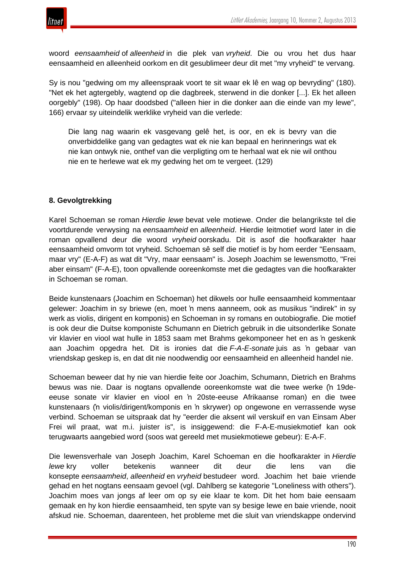

woord *eensaamheid* of *alleenheid* in die plek van *vryheid*. Die ou vrou het dus haar eensaamheid en alleenheid oorkom en dit gesublimeer deur dit met "my vryheid" te vervang.

Sy is nou "gedwing om my alleenspraak voort te sit waar ek lê en wag op bevryding" (180). "Net ek het agtergebly, wagtend op die dagbreek, sterwend in die donker [...]. Ek het alleen oorgebly" (198). Op haar doodsbed ("alleen hier in die donker aan die einde van my lewe", 166) ervaar sy uiteindelik werklike vryheid van die verlede:

Die lang nag waarin ek vasgevang gelê het, is oor, en ek is bevry van die onverbiddelike gang van gedagtes wat ek nie kan bepaal en herinnerings wat ek nie kan ontwyk nie, onthef van die verpligting om te herhaal wat ek nie wil onthou nie en te herlewe wat ek my gedwing het om te vergeet. (129)

# **8. Gevolgtrekking**

Karel Schoeman se roman *Hierdie lewe* bevat vele motiewe. Onder die belangrikste tel die voortdurende verwysing na *eensaamheid* en *alleenheid*. Hierdie leitmotief word later in die roman opvallend deur die woord *vryheid* oorskadu. Dit is asof die hoofkarakter haar eensaamheid omvorm tot vryheid. Schoeman sê self die motief is by hom eerder "Eensaam, maar vry" (E-A-F) as wat dit "Vry, maar eensaam" is. Joseph Joachim se lewensmotto, "Frei aber einsam" (F-A-E), toon opvallende ooreenkomste met die gedagtes van die hoofkarakter in Schoeman se roman.

Beide kunstenaars (Joachim en Schoeman) het dikwels oor hulle eensaamheid kommentaar gelewer: Joachim in sy briewe (en, moet 'n mens aanneem, ook as musikus "indirek" in sy werk as violis, dirigent en komponis) en Schoeman in sy romans en outobiografie. Die motief is ook deur die Duitse komponiste Schumann en Dietrich gebruik in die uitsonderlike Sonate vir klavier en viool wat hulle in 1853 saam met Brahms gekomponeer het en as 'n geskenk aan Joachim opgedra het. Dit is ironies dat die *F-A-E-sonate* juis as 'n gebaar van vriendskap geskep is, en dat dit nie noodwendig oor eensaamheid en alleenheid handel nie.

Schoeman beweer dat hy nie van hierdie feite oor Joachim, Schumann, Dietrich en Brahms bewus was nie. Daar is nogtans opvallende ooreenkomste wat die twee werke ('n 19deeeuse sonate vir klavier en viool en 'n 20ste-eeuse Afrikaanse roman) en die twee kunstenaars ('n violis/dirigent/komponis en 'n skrywer) op ongewone en verrassende wyse verbind. Schoeman se uitspraak dat hy "eerder die aksent wil verskuif en van Einsam Aber Frei wil praat, wat m.i. juister is", is insiggewend: die F-A-E-musiekmotief kan ook terugwaarts aangebied word (soos wat gereeld met musiekmotiewe gebeur): E-A-F.

Die lewensverhale van Joseph Joachim, Karel Schoeman en die hoofkarakter in *Hierdie lewe* kry voller betekenis wanneer dit deur die lens van die konsepte *eensaamheid*, *alleenheid* en *vryheid* bestudeer word. Joachim het baie vriende gehad en het nogtans eensaam gevoel (vgl. Dahlberg se kategorie "Loneliness with others"). Joachim moes van jongs af leer om op sy eie klaar te kom. Dit het hom baie eensaam gemaak en hy kon hierdie eensaamheid, ten spyte van sy besige lewe en baie vriende, nooit afskud nie. Schoeman, daarenteen, het probleme met die sluit van vriendskappe ondervind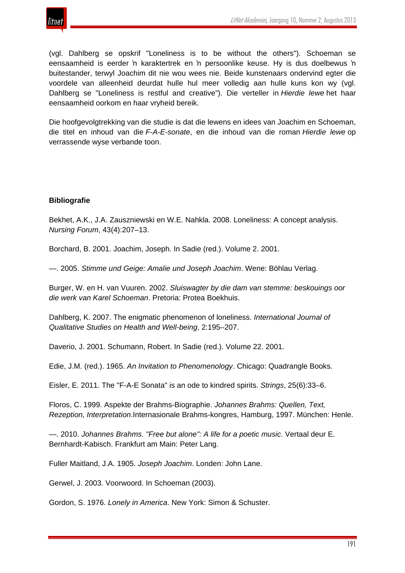

(vgl. Dahlberg se opskrif "Loneliness is to be without the others"). Schoeman se eensaamheid is eerder 'n karaktertrek en 'n persoonlike keuse. Hy is dus doelbewus 'n buitestander, terwyl Joachim dit nie wou wees nie. Beide kunstenaars ondervind egter die voordele van alleenheid deurdat hulle hul meer volledig aan hulle kuns kon wy (vgl. Dahlberg se "Loneliness is restful and creative"). Die verteller in *Hierdie lewe* het haar eensaamheid oorkom en haar vryheid bereik.

Die hoofgevolgtrekking van die studie is dat die lewens en idees van Joachim en Schoeman, die titel en inhoud van die *F-A-E-sonate*, en die inhoud van die roman *Hierdie lewe* op verrassende wyse verbande toon.

# **Bibliografie**

Bekhet, A.K., J.A. Zauszniewski en W.E. Nahkla. 2008. Loneliness: A concept analysis. *Nursing Forum*, 43(4):207–13.

Borchard, B. 2001. Joachim, Joseph. In Sadie (red.). Volume 2. 2001.

—. 2005. *Stimme und Geige: Amalie und Joseph Joachim*. Wene: Böhlau Verlag.

Burger, W. en H. van Vuuren. 2002. *Sluiswagter by die dam van stemme: beskouings oor die werk van Karel Schoeman*. Pretoria: Protea Boekhuis.

Dahlberg, K. 2007. The enigmatic phenomenon of loneliness. *International Journal of Qualitative Studies on Health and Well-being*, 2:195–207.

Daverio, J. 2001. Schumann, Robert. In Sadie (red.). Volume 22. 2001.

Edie, J.M. (red.). 1965. *An Invitation to Phenomenology*. Chicago: Quadrangle Books.

Eisler, E. 2011. The "F-A-E Sonata" is an ode to kindred spirits. *Strings*, 25(6):33–6.

Floros, C. 1999. Aspekte der Brahms-Biographie. *Johannes Brahms: Quellen, Text, Rezeption, Interpretation*.Internasionale Brahms-kongres, Hamburg, 1997. München: Henle.

—. 2010. *Johannes Brahms. "Free but alone": A life for a poetic music*. Vertaal deur E. Bernhardt-Kabisch. Frankfurt am Main: Peter Lang.

Fuller Maitland, J.A. 1905. *Joseph Joachim*. Londen: John Lane.

Gerwel, J. 2003. Voorwoord. In Schoeman (2003).

Gordon, S. 1976. *Lonely in America*. New York: Simon & Schuster.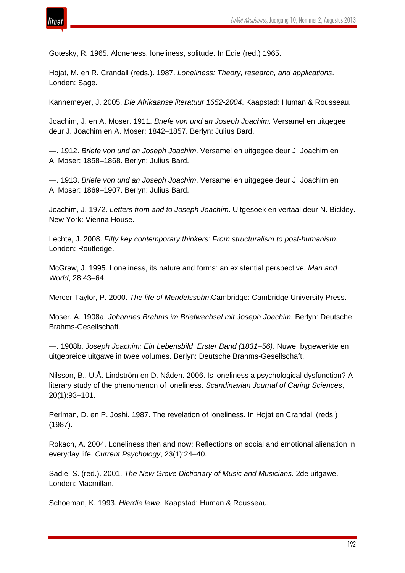

Gotesky, R. 1965. Aloneness, loneliness, solitude. In Edie (red.) 1965.

Hojat, M. en R. Crandall (reds.). 1987. *Loneliness: Theory, research, and applications*. Londen: Sage.

Kannemeyer, J. 2005. *Die Afrikaanse literatuur 1652-2004*. Kaapstad: Human & Rousseau.

Joachim, J. en A. Moser. 1911. *Briefe von und an Joseph Joachim*. Versamel en uitgegee deur J. Joachim en A. Moser: 1842–1857. Berlyn: Julius Bard.

—. 1912. *Briefe von und an Joseph Joachim*. Versamel en uitgegee deur J. Joachim en A. Moser: 1858–1868. Berlyn: Julius Bard.

—. 1913. *Briefe von und an Joseph Joachim*. Versamel en uitgegee deur J. Joachim en A. Moser: 1869–1907. Berlyn: Julius Bard.

Joachim, J. 1972. *Letters from and to Joseph Joachim*. Uitgesoek en vertaal deur N. Bickley. New York: Vienna House.

Lechte, J. 2008. *Fifty key contemporary thinkers: From structuralism to post-humanism*. Londen: Routledge.

McGraw, J. 1995. Loneliness, its nature and forms: an existential perspective. *Man and World*, 28:43–64.

Mercer-Taylor, P. 2000. *The life of Mendelssohn*.Cambridge: Cambridge University Press.

Moser, A. 1908a. *Johannes Brahms im Briefwechsel mit Joseph Joachim*. Berlyn: Deutsche Brahms-Gesellschaft.

—. 1908b. *Joseph Joachim: Ein Lebensbild*. *Erster Band (1831–56)*. Nuwe, bygewerkte en uitgebreide uitgawe in twee volumes. Berlyn: Deutsche Brahms-Gesellschaft.

Nilsson, B., U.Å. Lindström en D. Nåden. 2006. Is loneliness a psychological dysfunction? A literary study of the phenomenon of loneliness. *Scandinavian Journal of Caring Sciences*, 20(1):93–101.

Perlman, D. en P. Joshi. 1987. The revelation of loneliness. In Hojat en Crandall (reds.) (1987).

Rokach, A. 2004. Loneliness then and now: Reflections on social and emotional alienation in everyday life. *Current Psychology*, 23(1):24–40.

Sadie, S. (red.). 2001. *The New Grove Dictionary of Music and Musicians*. 2de uitgawe. Londen: Macmillan.

Schoeman, K. 1993. *Hierdie lewe*. Kaapstad: Human & Rousseau.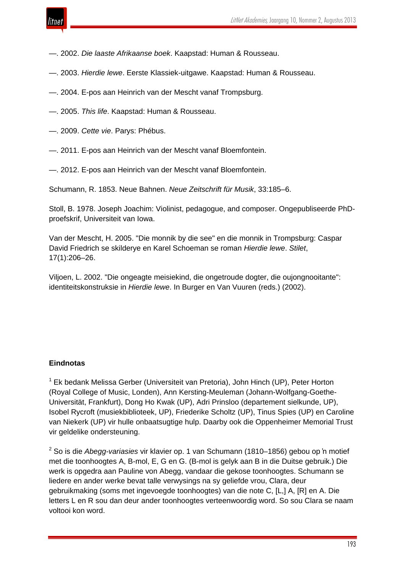

- —. 2002. *Die laaste Afrikaanse boek*. Kaapstad: Human & Rousseau.
- —. 2003. *Hierdie lewe*. Eerste Klassiek-uitgawe. Kaapstad: Human & Rousseau.
- —. 2004. E-pos aan Heinrich van der Mescht vanaf Trompsburg.
- —. 2005. *This life*. Kaapstad: Human & Rousseau.
- —. 2009. *Cette vie*. Parys: Phébus.
- —. 2011. E-pos aan Heinrich van der Mescht vanaf Bloemfontein.
- —. 2012. E-pos aan Heinrich van der Mescht vanaf Bloemfontein.

Schumann, R. 1853. Neue Bahnen. *Neue Zeitschrift für Musik*, 33:185–6.

Stoll, B. 1978. Joseph Joachim: Violinist, pedagogue, and composer. Ongepubliseerde PhDproefskrif, Universiteit van Iowa.

Van der Mescht, H. 2005. "Die monnik by die see" en die monnik in Trompsburg: Caspar David Friedrich se skilderye en Karel Schoeman se roman *Hierdie lewe*. *Stilet*, 17(1):206–26.

Viljoen, L. 2002. "Die ongeagte meisiekind, die ongetroude dogter, die oujongnooitante": identiteitskonstruksie in *Hierdie lewe*. In Burger en Van Vuuren (reds.) (2002).

#### **Eindnotas**

<sup>1</sup> Ek bedank Melissa Gerber (Universiteit van Pretoria), John Hinch (UP), Peter Horton (Royal College of Music, Londen), Ann Kersting-Meuleman (Johann-Wolfgang-Goethe-Universität, Frankfurt), Dong Ho Kwak (UP), Adri Prinsloo (departement sielkunde, UP), Isobel Rycroft (musiekbiblioteek, UP), Friederike Scholtz (UP), Tinus Spies (UP) en Caroline van Niekerk (UP) vir hulle onbaatsugtige hulp. Daarby ook die Oppenheimer Memorial Trust vir geldelike ondersteuning.

<sup>2</sup> So is die *Abegg-variasies* vir klavier op. 1 van Schumann (1810–1856) gebou op 'n motief met die toonhoogtes A, B-mol, E, G en G. (B-mol is gelyk aan B in die Duitse gebruik.) Die werk is opgedra aan Pauline von Abegg, vandaar die gekose toonhoogtes. Schumann se liedere en ander werke bevat talle verwysings na sy geliefde vrou, Clara, deur gebruikmaking (soms met ingevoegde toonhoogtes) van die note C, [L,] A, [R] en A. Die letters L en R sou dan deur ander toonhoogtes verteenwoordig word. So sou Clara se naam voltooi kon word.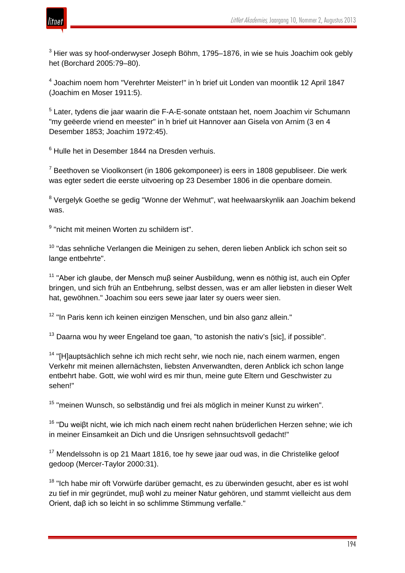

<sup>3</sup> Hier was sy hoof-onderwyser Joseph Böhm, 1795–1876, in wie se huis Joachim ook gebly het (Borchard 2005:79–80).

<sup>4</sup> Joachim noem hom "Verehrter Meister!" in 'n brief uit Londen van moontlik 12 April 1847 (Joachim en Moser 1911:5).

<sup>5</sup> Later, tydens die jaar waarin die F-A-E-sonate ontstaan het, noem Joachim vir Schumann "my geëerde vriend en meester" in 'n brief uit Hannover aan Gisela von Arnim (3 en 4 Desember 1853; Joachim 1972:45).

<sup>6</sup> Hulle het in Desember 1844 na Dresden verhuis.

 $7$  Beethoven se Vioolkonsert (in 1806 gekomponeer) is eers in 1808 gepubliseer. Die werk was egter sedert die eerste uitvoering op 23 Desember 1806 in die openbare domein.

<sup>8</sup> Vergelyk Goethe se gedig "Wonne der Wehmut", wat heelwaarskynlik aan Joachim bekend was.

<sup>9</sup> "nicht mit meinen Worten zu schildern ist".

<sup>10</sup> "das sehnliche Verlangen die Meinigen zu sehen, deren lieben Anblick ich schon seit so lange entbehrte".

<sup>11</sup> "Aber ich glaube, der Mensch muß seiner Ausbildung, wenn es nöthig ist, auch ein Opfer bringen, und sich früh an Entbehrung, selbst dessen, was er am aller liebsten in dieser Welt hat, gewöhnen." Joachim sou eers sewe jaar later sy ouers weer sien.

<sup>12</sup> "In Paris kenn ich keinen einzigen Menschen, und bin also ganz allein."

 $13$  Daarna wou hy weer Engeland toe gaan, "to astonish the nativ's [sic], if possible".

<sup>14</sup> "[H]auptsächlich sehne ich mich recht sehr, wie noch nie, nach einem warmen, engen Verkehr mit meinen allernächsten, liebsten Anverwandten, deren Anblick ich schon lange entbehrt habe. Gott, wie wohl wird es mir thun, meine gute Eltern und Geschwister zu sehen!"

<sup>15</sup> "meinen Wunsch, so selbständig und frei als möglich in meiner Kunst zu wirken".

<sup>16</sup> "Du weiβt nicht, wie ich mich nach einem recht nahen brüderlichen Herzen sehne; wie ich in meiner Einsamkeit an Dich und die Unsrigen sehnsuchtsvoll gedacht!"

<sup>17</sup> Mendelssohn is op 21 Maart 1816, toe hy sewe jaar oud was, in die Christelike geloof gedoop (Mercer-Taylor 2000:31).

 $18$  "Ich habe mir oft Vorwürfe darüber gemacht, es zu überwinden gesucht, aber es ist wohl zu tief in mir gegründet, muβ wohl zu meiner Natur gehören, und stammt vielleicht aus dem Orient, daβ ich so leicht in so schlimme Stimmung verfalle."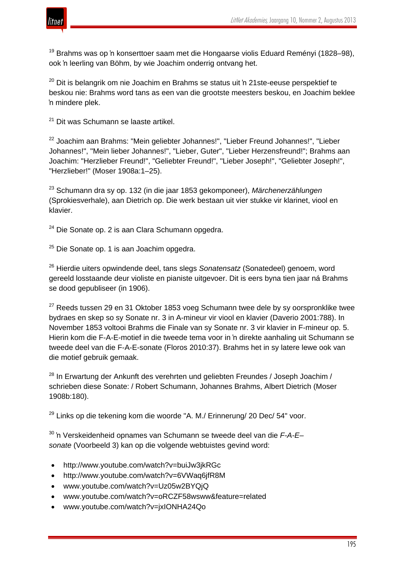

 $19$  Brahms was op 'n konserttoer saam met die Hongaarse violis Eduard Reményi (1828–98), ook 'n leerling van Böhm, by wie Joachim onderrig ontvang het.

 $20$  Dit is belangrik om nie Joachim en Brahms se status uit 'n 21ste-eeuse perspektief te beskou nie: Brahms word tans as een van die grootste meesters beskou, en Joachim beklee 'n mindere plek.

<sup>21</sup> Dit was Schumann se laaste artikel.

<sup>22</sup> Joachim aan Brahms: "Mein geliebter Johannes!", "Lieber Freund Johannes!", "Lieber Johannes!", "Mein lieber Johannes!", "Lieber, Guter", "Lieber Herzensfreund!"; Brahms aan Joachim: "Herzlieber Freund!", "Geliebter Freund!", "Lieber Joseph!", "Geliebter Joseph!", "Herzlieber!" (Moser 1908a:1–25).

<sup>23</sup> Schumann dra sy op. 132 (in die jaar 1853 gekomponeer), *Märchenerzählungen* (Sprokiesverhale), aan Dietrich op. Die werk bestaan uit vier stukke vir klarinet, viool en klavier.

 $24$  Die Sonate op. 2 is aan Clara Schumann opgedra.

 $25$  Die Sonate op. 1 is aan Joachim opgedra.

<sup>26</sup> Hierdie uiters opwindende deel, tans slegs *Sonatensatz* (Sonatedeel) genoem, word gereeld losstaande deur violiste en pianiste uitgevoer. Dit is eers byna tien jaar ná Brahms se dood gepubliseer (in 1906).

 $27$  Reeds tussen 29 en 31 Oktober 1853 voeg Schumann twee dele by sy oorspronklike twee bydraes en skep so sy Sonate nr. 3 in A-mineur vir viool en klavier (Daverio 2001:788). In November 1853 voltooi Brahms die Finale van sy Sonate nr. 3 vir klavier in F-mineur op. 5. Hierin kom die F-A-E-motief in die tweede tema voor in 'n direkte aanhaling uit Schumann se tweede deel van die F-A-E-sonate (Floros 2010:37). Brahms het in sy latere lewe ook van die motief gebruik gemaak.

 $28$  In Erwartung der Ankunft des verehrten und geliebten Freundes / Joseph Joachim / schrieben diese Sonate: / Robert Schumann, Johannes Brahms, Albert Dietrich (Moser 1908b:180).

 $29$  Links op die tekening kom die woorde "A. M./ Erinnerung/ 20 Dec/ 54" voor.

<sup>30</sup> 'n Verskeidenheid opnames van Schumann se tweede deel van die *F-A-E– sonate* (Voorbeeld 3) kan op die volgende webtuistes gevind word:

- http://www.youtube.com/watch?v=buiJw3jkRGc
- http://www.youtube.com/watch?v=6VWaq6jfR8M
- www.youtube.com/watch?v=Uz05w2BYQjQ
- www.youtube.com/watch?v=oRCZF58wsww&feature=related
- www.youtube.com/watch?v=jxIONHA24Qo